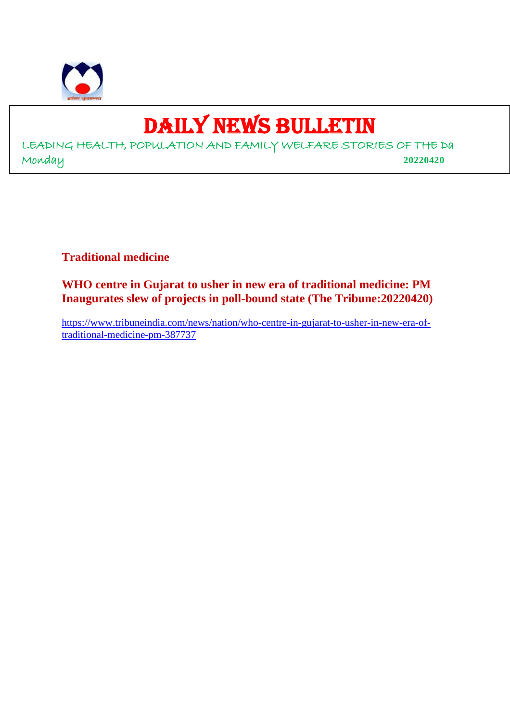

## DAILY NEWS BULLETIN

LEADING HEALTH, POPULATION AND FAMILY WELFARE STORIES OF THE Da Monday **20220420**

**Traditional medicine**

**WHO centre in Gujarat to usher in new era of traditional medicine: PM Inaugurates slew of projects in poll-bound state (The Tribune:20220420)**

https://www.tribuneindia.com/news/nation/who-centre-in-gujarat-to-usher-in-new-era-oftraditional-medicine-pm-387737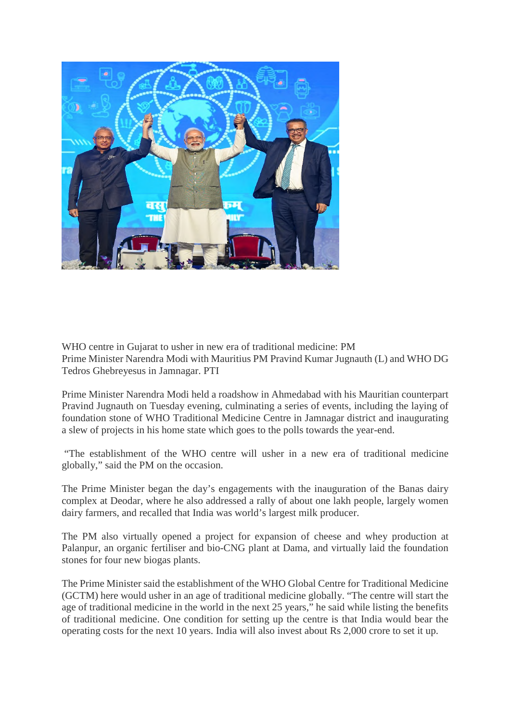

WHO centre in Gujarat to usher in new era of traditional medicine: PM Prime Minister Narendra Modi with Mauritius PM Pravind Kumar Jugnauth (L) and WHO DG Tedros Ghebreyesus in Jamnagar. PTI

Prime Minister Narendra Modi held a roadshow in Ahmedabad with his Mauritian counterpart Pravind Jugnauth on Tuesday evening, culminating a series of events, including the laying of foundation stone of WHO Traditional Medicine Centre in Jamnagar district and inaugurating a slew of projects in his home state which goes to the polls towards the year-end.

"The establishment of the WHO centre will usher in a new era of traditional medicine globally," said the PM on the occasion.

The Prime Minister began the day's engagements with the inauguration of the Banas dairy complex at Deodar, where he also addressed a rally of about one lakh people, largely women dairy farmers, and recalled that India was world's largest milk producer.

The PM also virtually opened a project for expansion of cheese and whey production at Palanpur, an organic fertiliser and bio-CNG plant at Dama, and virtually laid the foundation stones for four new biogas plants.

The Prime Minister said the establishment of the WHO Global Centre for Traditional Medicine (GCTM) here would usher in an age of traditional medicine globally. "The centre will start the age of traditional medicine in the world in the next 25 years," he said while listing the benefits of traditional medicine. One condition for setting up the centre is that India would bear the operating costs for the next 10 years. India will also invest about Rs 2,000 crore to set it up.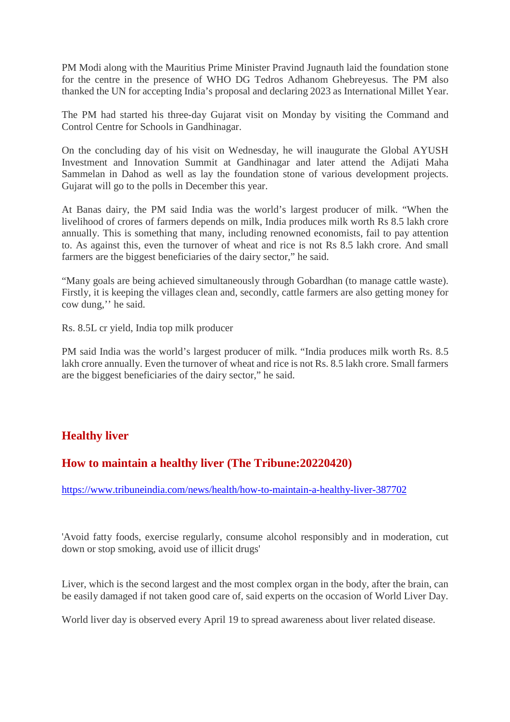PM Modi along with the Mauritius Prime Minister Pravind Jugnauth laid the foundation stone for the centre in the presence of WHO DG Tedros Adhanom Ghebreyesus. The PM also thanked the UN for accepting India's proposal and declaring 2023 as International Millet Year.

The PM had started his three-day Gujarat visit on Monday by visiting the Command and Control Centre for Schools in Gandhinagar.

On the concluding day of his visit on Wednesday, he will inaugurate the Global AYUSH Investment and Innovation Summit at Gandhinagar and later attend the Adijati Maha Sammelan in Dahod as well as lay the foundation stone of various development projects. Gujarat will go to the polls in December this year.

At Banas dairy, the PM said India was the world's largest producer of milk. "When the livelihood of crores of farmers depends on milk, India produces milk worth Rs 8.5 lakh crore annually. This is something that many, including renowned economists, fail to pay attention to. As against this, even the turnover of wheat and rice is not Rs 8.5 lakh crore. And small farmers are the biggest beneficiaries of the dairy sector," he said.

"Many goals are being achieved simultaneously through Gobardhan (to manage cattle waste). Firstly, it is keeping the villages clean and, secondly, cattle farmers are also getting money for cow dung,'' he said.

Rs. 8.5L cr yield, India top milk producer

PM said India was the world's largest producer of milk. "India produces milk worth Rs. 8.5 lakh crore annually. Even the turnover of wheat and rice is not Rs. 8.5 lakh crore. Small farmers are the biggest beneficiaries of the dairy sector," he said.

#### **Healthy liver**

#### **How to maintain a healthy liver (The Tribune:20220420)**

https://www.tribuneindia.com/news/health/how-to-maintain-a-healthy-liver-387702

'Avoid fatty foods, exercise regularly, consume alcohol responsibly and in moderation, cut down or stop smoking, avoid use of illicit drugs'

Liver, which is the second largest and the most complex organ in the body, after the brain, can be easily damaged if not taken good care of, said experts on the occasion of World Liver Day.

World liver day is observed every April 19 to spread awareness about liver related disease.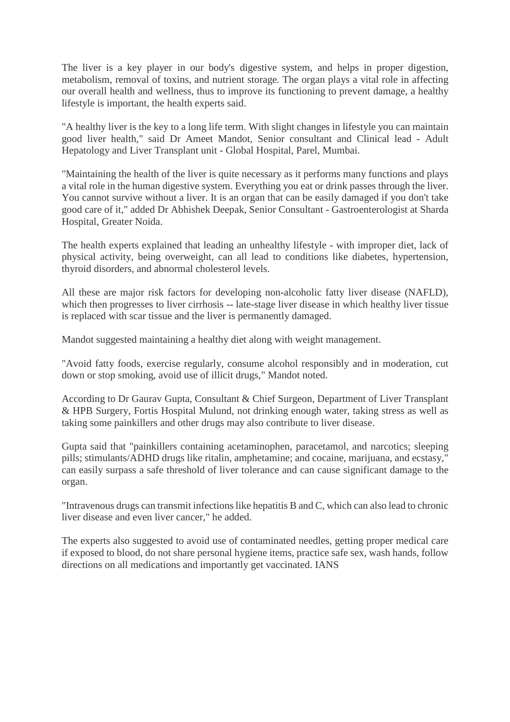The liver is a key player in our body's digestive system, and helps in proper digestion, metabolism, removal of toxins, and nutrient storage. The organ plays a vital role in affecting our overall health and wellness, thus to improve its functioning to prevent damage, a healthy lifestyle is important, the health experts said.

"A healthy liver is the key to a long life term. With slight changes in lifestyle you can maintain good liver health," said Dr Ameet Mandot, Senior consultant and Clinical lead - Adult Hepatology and Liver Transplant unit - Global Hospital, Parel, Mumbai.

"Maintaining the health of the liver is quite necessary as it performs many functions and plays a vital role in the human digestive system. Everything you eat or drink passes through the liver. You cannot survive without a liver. It is an organ that can be easily damaged if you don't take good care of it," added Dr Abhishek Deepak, Senior Consultant - Gastroenterologist at Sharda Hospital, Greater Noida.

The health experts explained that leading an unhealthy lifestyle - with improper diet, lack of physical activity, being overweight, can all lead to conditions like diabetes, hypertension, thyroid disorders, and abnormal cholesterol levels.

All these are major risk factors for developing non-alcoholic fatty liver disease (NAFLD), which then progresses to liver cirrhosis -- late-stage liver disease in which healthy liver tissue is replaced with scar tissue and the liver is permanently damaged.

Mandot suggested maintaining a healthy diet along with weight management.

"Avoid fatty foods, exercise regularly, consume alcohol responsibly and in moderation, cut down or stop smoking, avoid use of illicit drugs," Mandot noted.

According to Dr Gaurav Gupta, Consultant & Chief Surgeon, Department of Liver Transplant & HPB Surgery, Fortis Hospital Mulund, not drinking enough water, taking stress as well as taking some painkillers and other drugs may also contribute to liver disease.

Gupta said that "painkillers containing acetaminophen, paracetamol, and narcotics; sleeping pills; stimulants/ADHD drugs like ritalin, amphetamine; and cocaine, marijuana, and ecstasy," can easily surpass a safe threshold of liver tolerance and can cause significant damage to the organ.

"Intravenous drugs can transmit infections like hepatitis B and C, which can also lead to chronic liver disease and even liver cancer," he added.

The experts also suggested to avoid use of contaminated needles, getting proper medical care if exposed to blood, do not share personal hygiene items, practice safe sex, wash hands, follow directions on all medications and importantly get vaccinated. IANS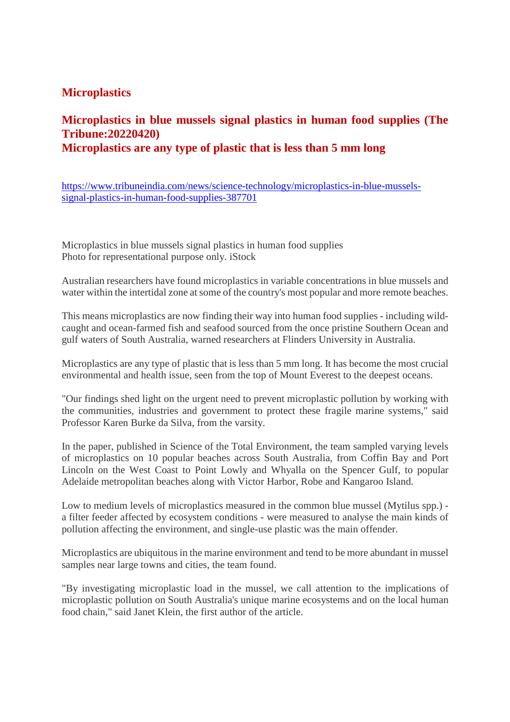#### **Microplastics**

#### **Microplastics in blue mussels signal plastics in human food supplies (The Tribune:20220420) Microplastics are any type of plastic that is less than 5 mm long**

https://www.tribuneindia.com/news/science-technology/microplastics-in-blue-musselssignal-plastics-in-human-food-supplies-387701

Microplastics in blue mussels signal plastics in human food supplies Photo for representational purpose only. iStock

Australian researchers have found microplastics in variable concentrations in blue mussels and water within the intertidal zone at some of the country's most popular and more remote beaches.

This means microplastics are now finding their way into human food supplies - including wildcaught and ocean-farmed fish and seafood sourced from the once pristine Southern Ocean and gulf waters of South Australia, warned researchers at Flinders University in Australia.

Microplastics are any type of plastic that is less than 5 mm long. It has become the most crucial environmental and health issue, seen from the top of Mount Everest to the deepest oceans.

"Our findings shed light on the urgent need to prevent microplastic pollution by working with the communities, industries and government to protect these fragile marine systems," said Professor Karen Burke da Silva, from the varsity.

In the paper, published in Science of the Total Environment, the team sampled varying levels of microplastics on 10 popular beaches across South Australia, from Coffin Bay and Port Lincoln on the West Coast to Point Lowly and Whyalla on the Spencer Gulf, to popular Adelaide metropolitan beaches along with Victor Harbor, Robe and Kangaroo Island.

Low to medium levels of microplastics measured in the common blue mussel (Mytilus spp.) a filter feeder affected by ecosystem conditions - were measured to analyse the main kinds of pollution affecting the environment, and single-use plastic was the main offender.

Microplastics are ubiquitous in the marine environment and tend to be more abundant in mussel samples near large towns and cities, the team found.

"By investigating microplastic load in the mussel, we call attention to the implications of microplastic pollution on South Australia's unique marine ecosystems and on the local human food chain," said Janet Klein, the first author of the article.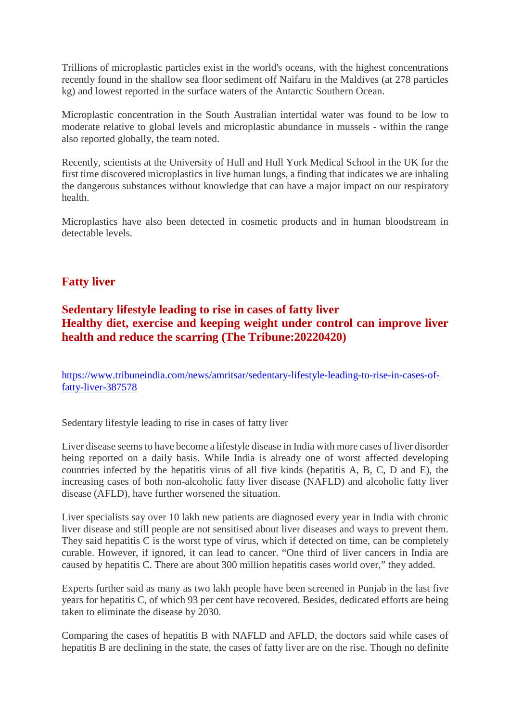Trillions of microplastic particles exist in the world's oceans, with the highest concentrations recently found in the shallow sea floor sediment off Naifaru in the Maldives (at 278 particles kg) and lowest reported in the surface waters of the Antarctic Southern Ocean.

Microplastic concentration in the South Australian intertidal water was found to be low to moderate relative to global levels and microplastic abundance in mussels - within the range also reported globally, the team noted.

Recently, scientists at the University of Hull and Hull York Medical School in the UK for the first time discovered microplastics in live human lungs, a finding that indicates we are inhaling the dangerous substances without knowledge that can have a major impact on our respiratory health.

Microplastics have also been detected in cosmetic products and in human bloodstream in detectable levels.

#### **Fatty liver**

#### **Sedentary lifestyle leading to rise in cases of fatty liver Healthy diet, exercise and keeping weight under control can improve liver health and reduce the scarring (The Tribune:20220420)**

https://www.tribuneindia.com/news/amritsar/sedentary-lifestyle-leading-to-rise-in-cases-offatty-liver-387578

Sedentary lifestyle leading to rise in cases of fatty liver

Liver disease seems to have become a lifestyle disease in India with more cases of liver disorder being reported on a daily basis. While India is already one of worst affected developing countries infected by the hepatitis virus of all five kinds (hepatitis A, B, C, D and E), the increasing cases of both non-alcoholic fatty liver disease (NAFLD) and alcoholic fatty liver disease (AFLD), have further worsened the situation.

Liver specialists say over 10 lakh new patients are diagnosed every year in India with chronic liver disease and still people are not sensitised about liver diseases and ways to prevent them. They said hepatitis C is the worst type of virus, which if detected on time, can be completely curable. However, if ignored, it can lead to cancer. "One third of liver cancers in India are caused by hepatitis C. There are about 300 million hepatitis cases world over," they added.

Experts further said as many as two lakh people have been screened in Punjab in the last five years for hepatitis C, of which 93 per cent have recovered. Besides, dedicated efforts are being taken to eliminate the disease by 2030.

Comparing the cases of hepatitis B with NAFLD and AFLD, the doctors said while cases of hepatitis B are declining in the state, the cases of fatty liver are on the rise. Though no definite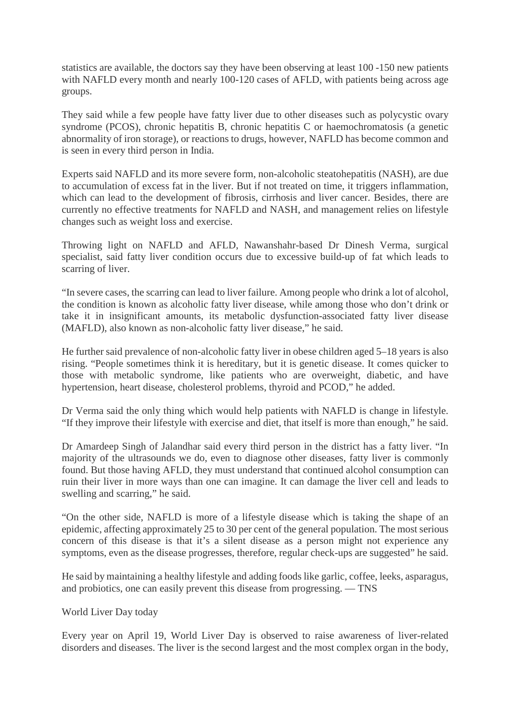statistics are available, the doctors say they have been observing at least 100 -150 new patients with NAFLD every month and nearly 100-120 cases of AFLD, with patients being across age groups.

They said while a few people have fatty liver due to other diseases such as polycystic ovary syndrome (PCOS), chronic hepatitis B, chronic hepatitis C or haemochromatosis (a genetic abnormality of iron storage), or reactions to drugs, however, NAFLD has become common and is seen in every third person in India.

Experts said NAFLD and its more severe form, non-alcoholic steatohepatitis (NASH), are due to accumulation of excess fat in the liver. But if not treated on time, it triggers inflammation, which can lead to the development of fibrosis, cirrhosis and liver cancer. Besides, there are currently no effective treatments for NAFLD and NASH, and management relies on lifestyle changes such as weight loss and exercise.

Throwing light on NAFLD and AFLD, Nawanshahr-based Dr Dinesh Verma, surgical specialist, said fatty liver condition occurs due to excessive build-up of fat which leads to scarring of liver.

"In severe cases, the scarring can lead to liver failure. Among people who drink a lot of alcohol, the condition is known as alcoholic fatty liver disease, while among those who don't drink or take it in insignificant amounts, its metabolic dysfunction-associated fatty liver disease (MAFLD), also known as non-alcoholic fatty liver disease," he said.

He further said prevalence of non-alcoholic fatty liver in obese children aged 5–18 years is also rising. "People sometimes think it is hereditary, but it is genetic disease. It comes quicker to those with metabolic syndrome, like patients who are overweight, diabetic, and have hypertension, heart disease, cholesterol problems, thyroid and PCOD," he added.

Dr Verma said the only thing which would help patients with NAFLD is change in lifestyle. "If they improve their lifestyle with exercise and diet, that itself is more than enough," he said.

Dr Amardeep Singh of Jalandhar said every third person in the district has a fatty liver. "In majority of the ultrasounds we do, even to diagnose other diseases, fatty liver is commonly found. But those having AFLD, they must understand that continued alcohol consumption can ruin their liver in more ways than one can imagine. It can damage the liver cell and leads to swelling and scarring," he said.

"On the other side, NAFLD is more of a lifestyle disease which is taking the shape of an epidemic, affecting approximately 25 to 30 per cent of the general population. The most serious concern of this disease is that it's a silent disease as a person might not experience any symptoms, even as the disease progresses, therefore, regular check-ups are suggested" he said.

He said by maintaining a healthy lifestyle and adding foods like garlic, coffee, leeks, asparagus, and probiotics, one can easily prevent this disease from progressing. — TNS

#### World Liver Day today

Every year on April 19, World Liver Day is observed to raise awareness of liver-related disorders and diseases. The liver is the second largest and the most complex organ in the body,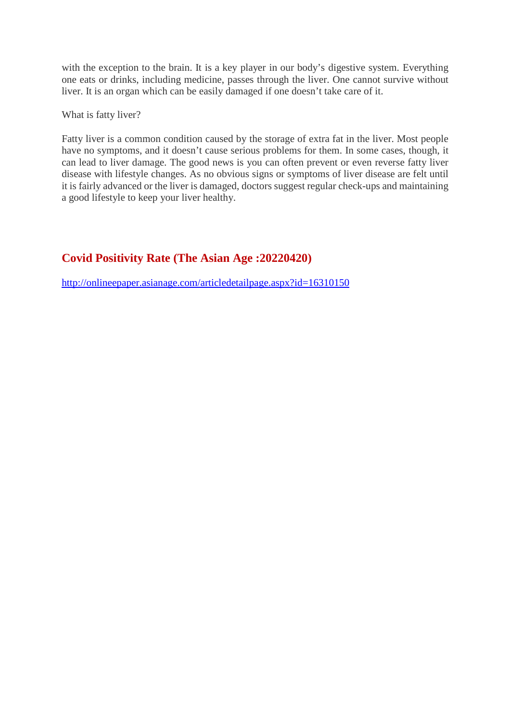with the exception to the brain. It is a key player in our body's digestive system. Everything one eats or drinks, including medicine, passes through the liver. One cannot survive without liver. It is an organ which can be easily damaged if one doesn't take care of it.

What is fatty liver?

Fatty liver is a common condition caused by the storage of extra fat in the liver. Most people have no symptoms, and it doesn't cause serious problems for them. In some cases, though, it can lead to liver damage. The good news is you can often prevent or even reverse fatty liver disease with lifestyle changes. As no obvious signs or symptoms of liver disease are felt until it is fairly advanced or the liver is damaged, doctors suggest regular check-ups and maintaining a good lifestyle to keep your liver healthy.

#### **Covid Positivity Rate (The Asian Age :20220420)**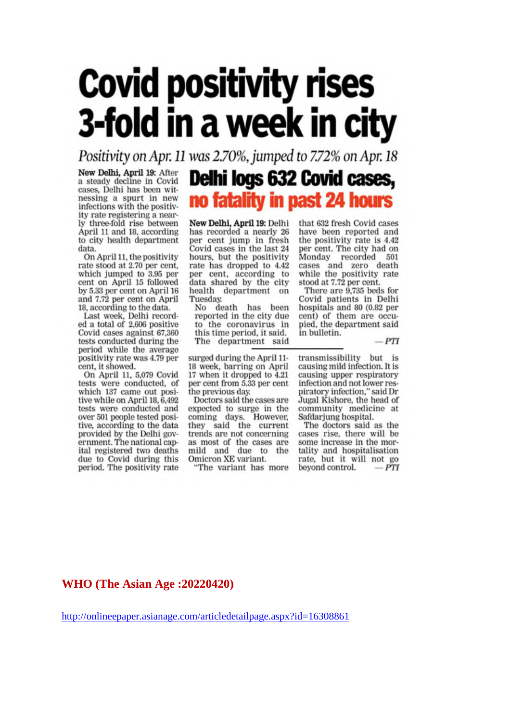# **Covid positivity rises** 3-fold in a week in city

Positivity on Apr. 11 was 2.70%, jumped to 7.72% on Apr. 18

New Delhi, April 19: After a steady decline in Covid cases, Delhi has been witnessing a spurt in new infections with the positivity rate registering a nearly three-fold rise between April 11 and 18, according to city health department data.

On April 11, the positivity rate stood at 2.70 per cent, which jumped to 3.95 per cent on April 15 followed by 5.33 per cent on April 16 and 7.72 per cent on April 18, according to the data.

Last week, Delhi recorded a total of 2,606 positive Covid cases against 67,360 tests conducted during the period while the average positivity rate was 4.79 per cent, it showed.

On April 11, 5,079 Covid tests were conducted, of which 137 came out positive while on April 18, 6,492 tests were conducted and over 501 people tested positive, according to the data provided by the Delhi government. The national capital registered two deaths due to Covid during this period. The positivity rate

Delhi logs 632 Covid cases, no fatality in past 24 hours

New Delhi, April 19: Delhi has recorded a nearly 26 per cent jump in fresh Covid cases in the last 24 hours, but the positivity rate has dropped to 4.42 per cent, according to data shared by the city health department on Tuesday.

No death has been reported in the city due to the coronavirus in this time period, it said. The department said

surged during the April 11-18 week, barring on April 17 when it dropped to 4.21 per cent from 5.33 per cent the previous day.

Doctors said the cases are expected to surge in the coming days. However, they said the current trends are not concerning as most of the cases are mild and due to the Omicron XE variant.

The variant has more

that 632 fresh Covid cases have been reported and the positivity rate is 4.42 per cent. The city had on Monday recorded 501 cases and zero death while the positivity rate stood at 7.72 per cent.

There are 9,735 beds for Covid patients in Delhi hospitals and 80 (0.82 per cent) of them are occupied, the department said in bulletin.

 $-PTI$ 

transmissibility but is causing mild infection. It is causing upper respiratory infection and not lower respiratory infection," said Dr Jugal Kishore, the head of community medicine at<br>Safdarjung hospital.

The doctors said as the cases rise, there will be some increase in the mortality and hospitalisation rate, but it will not go beyond control.  $-PTI$ 

**WHO (The Asian Age :20220420)**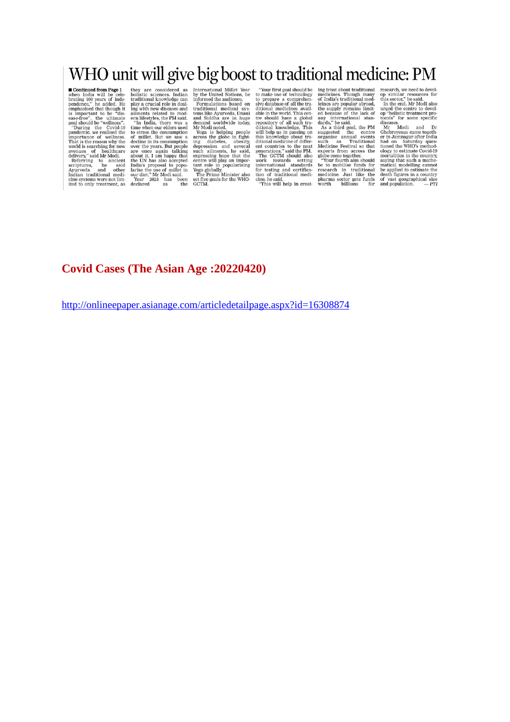### WHO unit will give big boost to traditional medicine: PM

**FORMALLE WITH SEXE COLLUSE IN SURFACE SET IN SURFACE IN THE WITH SURFACE when India will be cell-<br>both and will be cell-both contents. Indian by the Unital Nations, he branched by the predict schemes in thormal to perfor** 

**COVERTIFY**<br>
"Your first goal should be<br>
to make use of technology<br>
to prepare a comprehen-<br>
sive database of all the tra-<br>
aditional medicines avail-<br>
ree should have a global<br>
tree should have a global<br>
tree should have

ing trust about traditional<br>medicines. Though many<br>of India's traditional med-

nconducts. riougal mandator and the sample the sample the supply remains limited because of the lack of the supply remains limited the supply remains limited and the central standard as  $\lambda$  as a third goal, the PM suggest

**Example 18**<br>
The search, we need to develop similar resources for<br>
this sector," he said.<br>
In the end, Mr Modi also<br>
urged the centre to develop "holistic treatment pro-<br>
one specific comparison and Dr<br>
Orehovesus can be

#### **Covid Cases (The Asian Age :20220420)**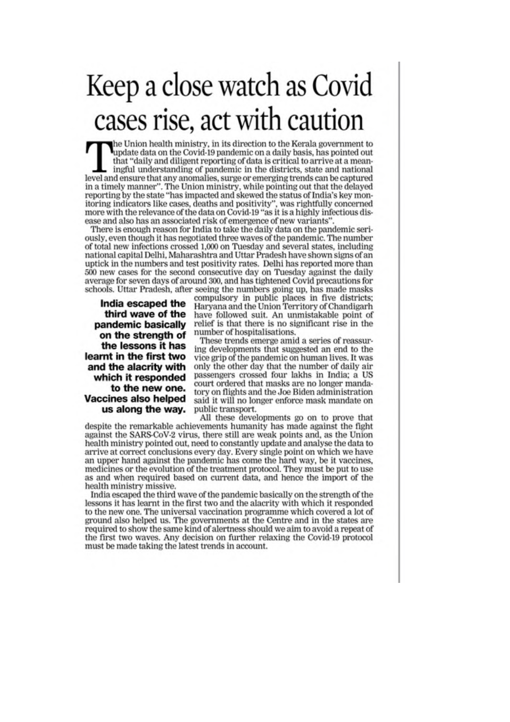# Keep a close watch as Covid cases rise, act with caution

the Union health ministry, in its direction to the Kerala government to update data on the Covid-19 pandemic on a daily basis, has pointed out that "daily and diligent reporting of data is critical to arrive at a meaningful understanding of pandemic in the districts, state and national level and ensure that any anomalies, surge or emerging trends can be captured in a timely manner". The Union ministry, while pointing out that the delayed reporting by the state "has impacted and skewed the status of India's key monitoring indicators like cases, deaths and positivity", was rightfully concerned more with the relevance of the data on Covid-19 "as it is a highly infectious disease and also has an associated risk of emergence of new variants'

There is enough reason for India to take the daily data on the pandemic seriously, even though it has negotiated three waves of the pandemic. The number of total new infections crossed 1,000 on Tuesday and several states, including national capital Delhi. Maharashtra and Uttar Pradesh have shown signs of an uptick in the numbers and test positivity rates. Delhi has reported more than 500 new cases for the second consecutive day on Tuesday against the daily average for seven days of around 300, and has tightened Covid precautions for schools. Uttar Pradesh, after seeing the numbers going up, has made masks

India escaped the third wave of the pandemic basically on the strength of the lessons it has learnt in the first two and the alacrity with which it responded to the new one. **Vaccines also helped** us along the way. compulsory in public places in five districts; Haryana and the Union Territory of Chandigarh have followed suit. An unmistakable point of relief is that there is no significant rise in the number of hospitalisations.

These trends emerge amid a series of reassuring developments that suggested an end to the vice grip of the pandemic on human lives. It was only the other day that the number of daily air passengers crossed four lakhs in India; a US court ordered that masks are no longer mandatory on flights and the Joe Biden administration said it will no longer enforce mask mandate on public transport.

All these developments go on to prove that despite the remarkable achievements humanity has made against the fight against the SARS-CoV-2 virus, there still are weak points and, as the Union health ministry pointed out, need to constantly update and analyse the data to arrive at correct conclusions every day. Every single point on which we have an upper hand against the pandemic has come the hard way, be it vaccines, medicines or the evolution of the treatment protocol. They must be put to use as and when required based on current data, and hence the import of the health ministry missive.

India escaped the third wave of the pandemic basically on the strength of the lessons it has learnt in the first two and the alacrity with which it responded to the new one. The universal vaccination programme which covered a lot of ground also helped us. The governments at the Centre and in the states are required to show the same kind of alertness should we aim to avoid a repeat of the first two waves. Any decision on further relaxing the Covid-19 protocol must be made taking the latest trends in account.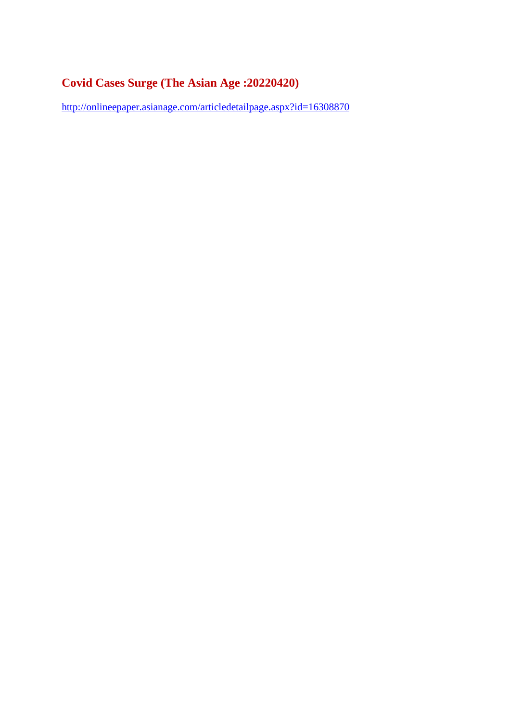#### **Covid Cases Surge (The Asian Age :20220420)**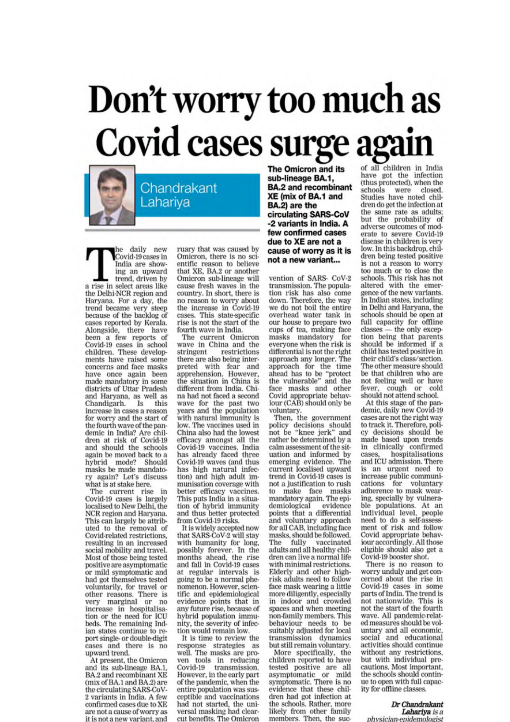# Don't worry too much as Covid cases surge again

Chandrakant Lahariya

he daily new Covid-19 cases in India are showing an upward trend, driven by a rise in select areas like the Delhi-NCR region and Haryana. For a day, the trend became very steep because of the backlog of cases reported by Kerala. Alongside, there have been a few reports of<br>Covid-19 cases in school children. These developments have raised some concerns and face masks have once again been made mandatory in some districts of Uttar Pradesh and Haryana, as well as Chandigarh. Is this<br>increase in cases a reason for worry and the start of the fourth wave of the pandemic in India? Are chil-<br>dren at risk of Covid-19 and should the schools again be moved back to a hybrid mode? Should masks be made mandatory again? Let's discuss what is at stake here.

The current rise in<br>Covid-19 cases is largely localised to New Delhi, the NCR region and Harvana. This can largely be attributed to the removal of Covid-related restrictions, resulting in an increased social mobility and travel. Most of those being tested positive are asymptomatic or mild symptomatic and had got themselves tested voluntarily, for travel or other reasons. There is very marginal or no<br>increase in hospitalisation or the need for ICU beds. The remaining Indian states continue to report single- or double-digit cases and there is no upward trend.

At present, the Omicron<br>and its sub-lineage BA.1, BA.2 and recombinant XE (mix of BA.1 and BA.2) are the circulating SARS-CoV-2 variants in India. A few confirmed cases due to XE are not a cause of worry as it is not a new variant, and

ruary that was caused by Omicron, there is no scientific reason to believe that XE, BA.2 or another Omicron sub-lineage will cause fresh waves in the country. In short, there is no reason to worry about the increase in Covid-19 cases. This state-specific rise is not the start of the fourth wave in India.

The current Omicron<br>wave in China and the stringent restrictions there are also being interpreted with fear and<br>apprehension. However,<br>the situation in China is different from India. China had not faced a second wave for the past two<br>years and the population with natural immunity is low. The vaccines used in China also had the lowest efficacy amongst all the Covid-19 vaccines. India<br>has already faced three Covid-19 waves (and thus has high natural infection) and high adult immunisation coverage with better efficacy vaccines.<br>This puts India in a situation of hybrid immunity and thus better protected from Covid-19 risks.

It is widely accepted now<br>that SARS-CoV-2 will stay with humanity for long, possibly forever. In the<br>months ahead, the rise and fall in Covid-19 cases at regular intervals is going to be a normal phenomenon. However, scientific and epidemiological evidence points that in any future rise, because of hybrid population immunity, the severity of infection would remain low.

It is time to review the response strategies as well. The masks are proven tools in reducing Covid-19 transmission. However, in the early part of the pandemic, when the entire population was susceptible and vaccinations had not started, the universal masking had clearcut benefits. The Omicron

The Omicron and its sub-lineage BA.1, **BA.2 and recombinant** XE (mix of BA.1 and BA.2) are the circulating SARS-CoV -2 variants in India. A few confirmed cases due to XE are not a cause of worry as it is not a new variant...

vention of SARS- CoV-2 transmission. The population risk has also come down. Therefore, the way we do not boil the entire overhead water tank in our house to prepare two cups of tea, making face masks mandatory for<br>everyone when the risk is differential is not the right approach any longer. The approach for the time<br>ahead has to be "protect<br>the vulnerable" and the face masks and other Covid appropriate behaviour (CAB) should only be

voluntary.<br>Then, the government policy decisions should<br>not be "knee jerk" and rather be determined by a calm assessment of the situation and informed by emerging evidence. The current localised upward trend in Covid-19 cases is not a justification to rush to make face masks mandatory again. The epidemiological evidence points that a differential and voluntary approach<br>for all CAB, including face masks, should be followed. fully vaccinated The adults and all healthy children can live a normal life with minimal restrictions. Elderly and other highrisk adults need to follow face mask wearing a little more diligently, especially in indoor and crowded spaces and when meeting non-family members. This behaviour needs to be suitably adjusted for local transmission dynamics but still remain voluntary.

More specifically, the<br>children reported to have tested positive are all asymptomatic or mild<br>symptomatic. There is no evidence that these children had got infection at the schools. Rather, more likely from other family members. Then, the suc-

of all children in India have got the infection (thus protected), when the schools were closed. Studies have noted children do get the infection at the same rate as adults; but the probability of adverse outcomes of moderate to severe Covid-19 disease in children is very low. In this backdrop, children being tested positive is not a reason to worry too much or to close the schools. This risk has not altered with the emergence of the new variants. In Indian states, including in Delhi and Haryana, the schools should be open at full capacity for offline classes - the only exception being that parents should be informed if a child has tested positive in their child's class/section. The other measure should be that children who are not feeling well or have fever, cough or cold should not attend school.

At this stage of the pandemic, daily new Covid-19 cases are not the right way to track it. Therefore, policy decisions should be made based upon trends<br>in clinically confirmed<br>cases, hospitalisations and ICU admission. There is an urgent need to increase public communications for voluntary adherence to mask wearing, specially by vulnerable populations. At an individual level, people need to do a self-assessment of risk and follow Covid appropriate behaviour accordingly. All those eligible should also get a Covid-19 booster shot.

There is no reason to worry unduly and get concerned about the rise in Covid-19 cases in some parts of India. The trend is<br>not nationwide. This is not the start of the fourth wave. All pandemic-related measures should be voluntary and all economic, social and educational activities should continue without any restrictions, but with individual precautions. Most important, the schools should continue to open with full capacity for offline classes.

Dr Chandrakant Lahariya is a physician epidemologist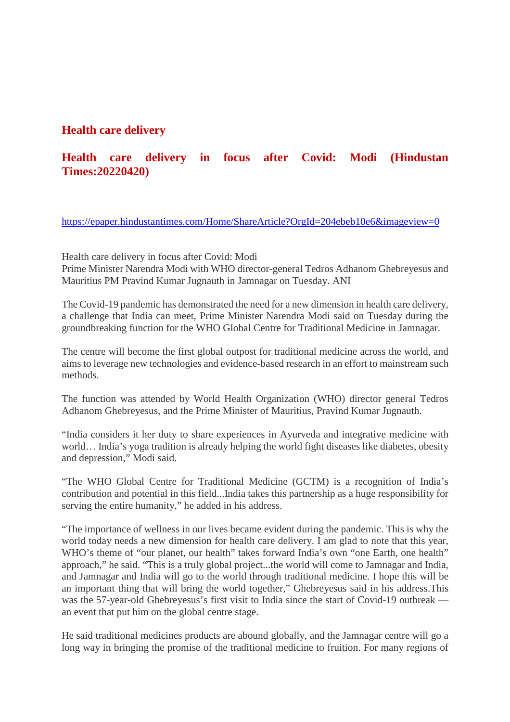#### **Health care delivery**

#### **Health care delivery in focus after Covid: Modi (Hindustan Times:20220420)**

https://epaper.hindustantimes.com/Home/ShareArticle?OrgId=204ebeb10e6&imageview=0

Health care delivery in focus after Covid: Modi

Prime Minister Narendra Modi with WHO director-general Tedros Adhanom Ghebreyesus and Mauritius PM Pravind Kumar Jugnauth in Jamnagar on Tuesday. ANI

The Covid-19 pandemic has demonstrated the need for a new dimension in health care delivery, a challenge that India can meet, Prime Minister Narendra Modi said on Tuesday during the groundbreaking function for the WHO Global Centre for Traditional Medicine in Jamnagar.

The centre will become the first global outpost for traditional medicine across the world, and aims to leverage new technologies and evidence-based research in an effort to mainstream such methods.

The function was attended by World Health Organization (WHO) director general Tedros Adhanom Ghebreyesus, and the Prime Minister of Mauritius, Pravind Kumar Jugnauth.

"India considers it her duty to share experiences in Ayurveda and integrative medicine with world… India's yoga tradition is already helping the world fight diseases like diabetes, obesity and depression," Modi said.

"The WHO Global Centre for Traditional Medicine (GCTM) is a recognition of India's contribution and potential in this field...India takes this partnership as a huge responsibility for serving the entire humanity," he added in his address.

"The importance of wellness in our lives became evident during the pandemic. This is why the world today needs a new dimension for health care delivery. I am glad to note that this year, WHO's theme of "our planet, our health" takes forward India's own "one Earth, one health" approach," he said. "This is a truly global project...the world will come to Jamnagar and India, and Jamnagar and India will go to the world through traditional medicine. I hope this will be an important thing that will bring the world together," Ghebreyesus said in his address.This was the 57-year-old Ghebreyesus's first visit to India since the start of Covid-19 outbreak an event that put him on the global centre stage.

He said traditional medicines products are abound globally, and the Jamnagar centre will go a long way in bringing the promise of the traditional medicine to fruition. For many regions of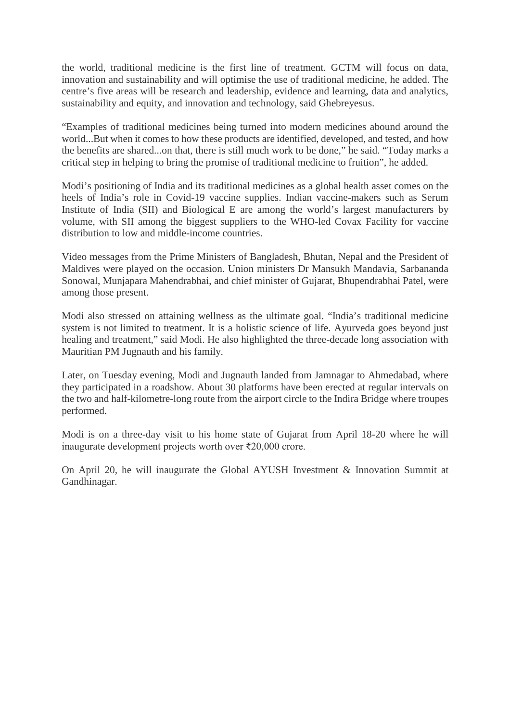the world, traditional medicine is the first line of treatment. GCTM will focus on data, innovation and sustainability and will optimise the use of traditional medicine, he added. The centre's five areas will be research and leadership, evidence and learning, data and analytics, sustainability and equity, and innovation and technology, said Ghebreyesus.

"Examples of traditional medicines being turned into modern medicines abound around the world...But when it comes to how these products are identified, developed, and tested, and how the benefits are shared...on that, there is still much work to be done," he said. "Today marks a critical step in helping to bring the promise of traditional medicine to fruition", he added.

Modi's positioning of India and its traditional medicines as a global health asset comes on the heels of India's role in Covid-19 vaccine supplies. Indian vaccine-makers such as Serum Institute of India (SII) and Biological E are among the world's largest manufacturers by volume, with SII among the biggest suppliers to the WHO-led Covax Facility for vaccine distribution to low and middle-income countries.

Video messages from the Prime Ministers of Bangladesh, Bhutan, Nepal and the President of Maldives were played on the occasion. Union ministers Dr Mansukh Mandavia, Sarbananda Sonowal, Munjapara Mahendrabhai, and chief minister of Gujarat, Bhupendrabhai Patel, were among those present.

Modi also stressed on attaining wellness as the ultimate goal. "India's traditional medicine system is not limited to treatment. It is a holistic science of life. Ayurveda goes beyond just healing and treatment," said Modi. He also highlighted the three-decade long association with Mauritian PM Jugnauth and his family.

Later, on Tuesday evening, Modi and Jugnauth landed from Jamnagar to Ahmedabad, where they participated in a roadshow. About 30 platforms have been erected at regular intervals on the two and half-kilometre-long route from the airport circle to the Indira Bridge where troupes performed.

Modi is on a three-day visit to his home state of Gujarat from April 18-20 where he will inaugurate development projects worth over ₹20,000 crore.

On April 20, he will inaugurate the Global AYUSH Investment & Innovation Summit at Gandhinagar.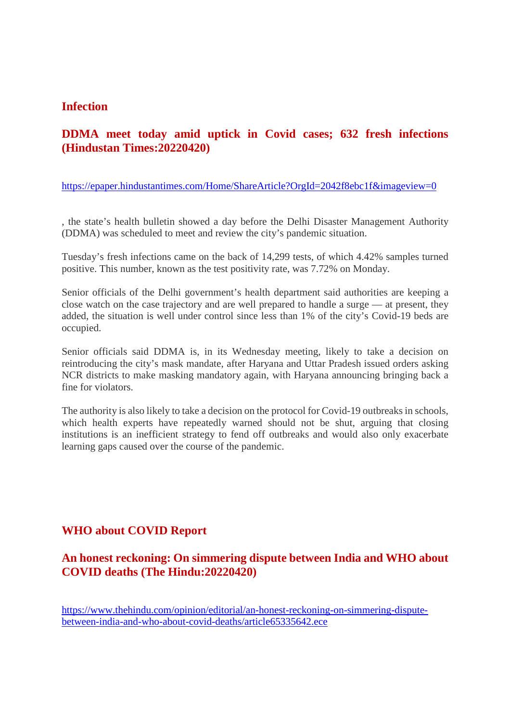#### **Infection**

#### **DDMA meet today amid uptick in Covid cases; 632 fresh infections (Hindustan Times:20220420)**

https://epaper.hindustantimes.com/Home/ShareArticle?OrgId=2042f8ebc1f&imageview=0

, the state's health bulletin showed a day before the Delhi Disaster Management Authority (DDMA) was scheduled to meet and review the city's pandemic situation.

Tuesday's fresh infections came on the back of 14,299 tests, of which 4.42% samples turned positive. This number, known as the test positivity rate, was 7.72% on Monday.

Senior officials of the Delhi government's health department said authorities are keeping a close watch on the case trajectory and are well prepared to handle a surge — at present, they added, the situation is well under control since less than 1% of the city's Covid-19 beds are occupied.

Senior officials said DDMA is, in its Wednesday meeting, likely to take a decision on reintroducing the city's mask mandate, after Haryana and Uttar Pradesh issued orders asking NCR districts to make masking mandatory again, with Haryana announcing bringing back a fine for violators.

The authority is also likely to take a decision on the protocol for Covid-19 outbreaks in schools, which health experts have repeatedly warned should not be shut, arguing that closing institutions is an inefficient strategy to fend off outbreaks and would also only exacerbate learning gaps caused over the course of the pandemic.

#### **WHO about COVID Report**

#### **An honest reckoning: On simmering dispute between India and WHO about COVID deaths (The Hindu:20220420)**

https://www.thehindu.com/opinion/editorial/an-honest-reckoning-on-simmering-disputebetween-india-and-who-about-covid-deaths/article65335642.ece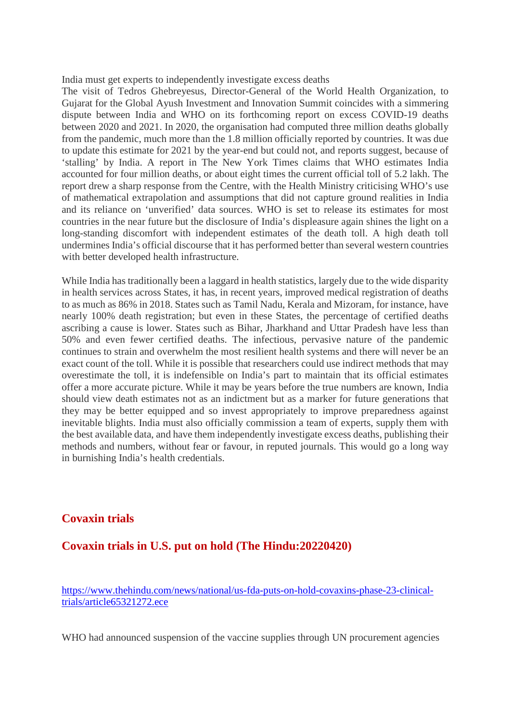India must get experts to independently investigate excess deaths

The visit of Tedros Ghebreyesus, Director-General of the World Health Organization, to Gujarat for the Global Ayush Investment and Innovation Summit coincides with a simmering dispute between India and WHO on its forthcoming report on excess COVID-19 deaths between 2020 and 2021. In 2020, the organisation had computed three million deaths globally from the pandemic, much more than the 1.8 million officially reported by countries. It was due to update this estimate for 2021 by the year-end but could not, and reports suggest, because of 'stalling' by India. A report in The New York Times claims that WHO estimates India accounted for four million deaths, or about eight times the current official toll of 5.2 lakh. The report drew a sharp response from the Centre, with the Health Ministry criticising WHO's use of mathematical extrapolation and assumptions that did not capture ground realities in India and its reliance on 'unverified' data sources. WHO is set to release its estimates for most countries in the near future but the disclosure of India's displeasure again shines the light on a long-standing discomfort with independent estimates of the death toll. A high death toll undermines India's official discourse that it has performed better than several western countries with better developed health infrastructure.

While India has traditionally been a laggard in health statistics, largely due to the wide disparity in health services across States, it has, in recent years, improved medical registration of deaths to as much as 86% in 2018. States such as Tamil Nadu, Kerala and Mizoram, for instance, have nearly 100% death registration; but even in these States, the percentage of certified deaths ascribing a cause is lower. States such as Bihar, Jharkhand and Uttar Pradesh have less than 50% and even fewer certified deaths. The infectious, pervasive nature of the pandemic continues to strain and overwhelm the most resilient health systems and there will never be an exact count of the toll. While it is possible that researchers could use indirect methods that may overestimate the toll, it is indefensible on India's part to maintain that its official estimates offer a more accurate picture. While it may be years before the true numbers are known, India should view death estimates not as an indictment but as a marker for future generations that they may be better equipped and so invest appropriately to improve preparedness against inevitable blights. India must also officially commission a team of experts, supply them with the best available data, and have them independently investigate excess deaths, publishing their methods and numbers, without fear or favour, in reputed journals. This would go a long way in burnishing India's health credentials.

#### **Covaxin trials**

**Covaxin trials in U.S. put on hold (The Hindu:20220420)**

https://www.thehindu.com/news/national/us-fda-puts-on-hold-covaxins-phase-23-clinicaltrials/article65321272.ece

WHO had announced suspension of the vaccine supplies through UN procurement agencies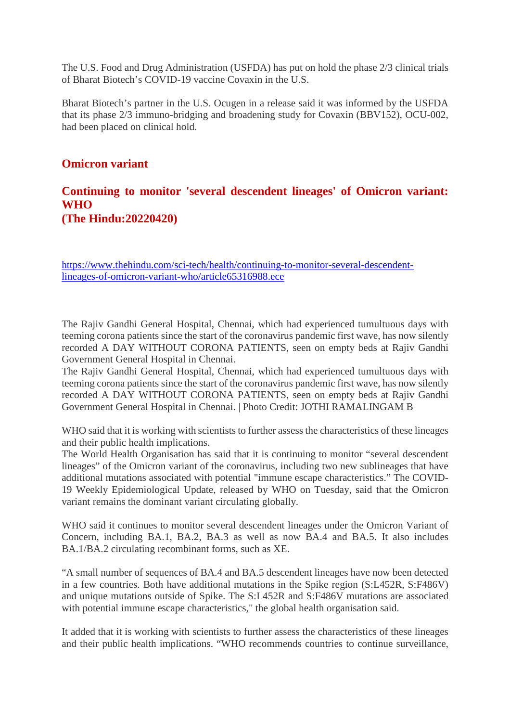The U.S. Food and Drug Administration (USFDA) has put on hold the phase 2/3 clinical trials of Bharat Biotech's COVID-19 vaccine Covaxin in the U.S.

Bharat Biotech's partner in the U.S. Ocugen in a release said it was informed by the USFDA that its phase 2/3 immuno-bridging and broadening study for Covaxin (BBV152), OCU-002, had been placed on clinical hold.

#### **Omicron variant**

#### **Continuing to monitor 'several descendent lineages' of Omicron variant: WHO (The Hindu:20220420)**

https://www.thehindu.com/sci-tech/health/continuing-to-monitor-several-descendentlineages-of-omicron-variant-who/article65316988.ece

The Rajiv Gandhi General Hospital, Chennai, which had experienced tumultuous days with teeming corona patients since the start of the coronavirus pandemic first wave, has now silently recorded A DAY WITHOUT CORONA PATIENTS, seen on empty beds at Rajiv Gandhi Government General Hospital in Chennai.

The Rajiv Gandhi General Hospital, Chennai, which had experienced tumultuous days with teeming corona patients since the start of the coronavirus pandemic first wave, has now silently recorded A DAY WITHOUT CORONA PATIENTS, seen on empty beds at Rajiv Gandhi Government General Hospital in Chennai. | Photo Credit: JOTHI RAMALINGAM B

WHO said that it is working with scientists to further assess the characteristics of these lineages and their public health implications.

The World Health Organisation has said that it is continuing to monitor "several descendent lineages" of the Omicron variant of the coronavirus, including two new sublineages that have additional mutations associated with potential "immune escape characteristics." The COVID-19 Weekly Epidemiological Update, released by WHO on Tuesday, said that the Omicron variant remains the dominant variant circulating globally.

WHO said it continues to monitor several descendent lineages under the Omicron Variant of Concern, including BA.1, BA.2, BA.3 as well as now BA.4 and BA.5. It also includes BA.1/BA.2 circulating recombinant forms, such as XE.

"A small number of sequences of BA.4 and BA.5 descendent lineages have now been detected in a few countries. Both have additional mutations in the Spike region (S:L452R, S:F486V) and unique mutations outside of Spike. The S:L452R and S:F486V mutations are associated with potential immune escape characteristics," the global health organisation said.

It added that it is working with scientists to further assess the characteristics of these lineages and their public health implications. "WHO recommends countries to continue surveillance,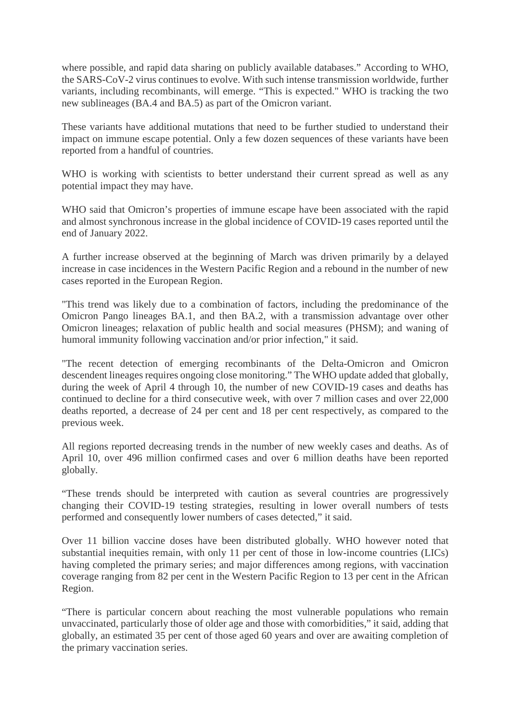where possible, and rapid data sharing on publicly available databases." According to WHO, the SARS-CoV-2 virus continues to evolve. With such intense transmission worldwide, further variants, including recombinants, will emerge. "This is expected." WHO is tracking the two new sublineages (BA.4 and BA.5) as part of the Omicron variant.

These variants have additional mutations that need to be further studied to understand their impact on immune escape potential. Only a few dozen sequences of these variants have been reported from a handful of countries.

WHO is working with scientists to better understand their current spread as well as any potential impact they may have.

WHO said that Omicron's properties of immune escape have been associated with the rapid and almost synchronous increase in the global incidence of COVID-19 cases reported until the end of January 2022.

A further increase observed at the beginning of March was driven primarily by a delayed increase in case incidences in the Western Pacific Region and a rebound in the number of new cases reported in the European Region.

"This trend was likely due to a combination of factors, including the predominance of the Omicron Pango lineages BA.1, and then BA.2, with a transmission advantage over other Omicron lineages; relaxation of public health and social measures (PHSM); and waning of humoral immunity following vaccination and/or prior infection," it said.

"The recent detection of emerging recombinants of the Delta-Omicron and Omicron descendent lineages requires ongoing close monitoring." The WHO update added that globally, during the week of April 4 through 10, the number of new COVID-19 cases and deaths has continued to decline for a third consecutive week, with over 7 million cases and over 22,000 deaths reported, a decrease of 24 per cent and 18 per cent respectively, as compared to the previous week.

All regions reported decreasing trends in the number of new weekly cases and deaths. As of April 10, over 496 million confirmed cases and over 6 million deaths have been reported globally.

"These trends should be interpreted with caution as several countries are progressively changing their COVID-19 testing strategies, resulting in lower overall numbers of tests performed and consequently lower numbers of cases detected," it said.

Over 11 billion vaccine doses have been distributed globally. WHO however noted that substantial inequities remain, with only 11 per cent of those in low-income countries (LICs) having completed the primary series; and major differences among regions, with vaccination coverage ranging from 82 per cent in the Western Pacific Region to 13 per cent in the African Region.

"There is particular concern about reaching the most vulnerable populations who remain unvaccinated, particularly those of older age and those with comorbidities," it said, adding that globally, an estimated 35 per cent of those aged 60 years and over are awaiting completion of the primary vaccination series.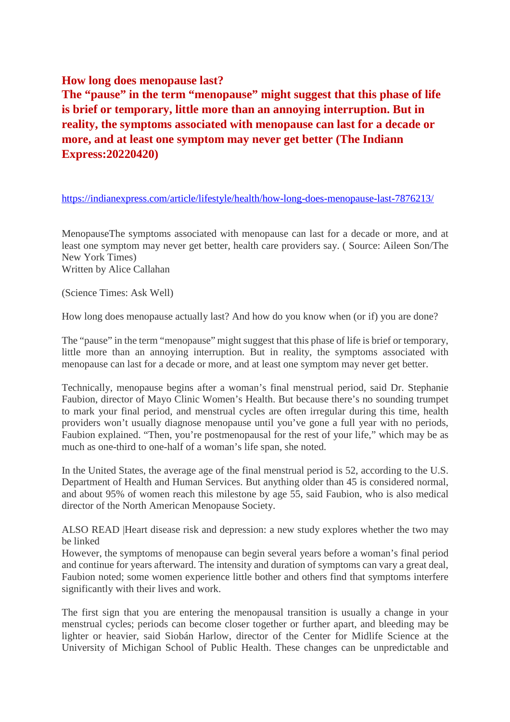#### **How long does menopause last?**

**The "pause" in the term "menopause" might suggest that this phase of life is brief or temporary, little more than an annoying interruption. But in reality, the symptoms associated with menopause can last for a decade or more, and at least one symptom may never get better (The Indiann Express:20220420)**

https://indianexpress.com/article/lifestyle/health/how-long-does-menopause-last-7876213/

MenopauseThe symptoms associated with menopause can last for a decade or more, and at least one symptom may never get better, health care providers say. ( Source: Aileen Son/The New York Times) Written by Alice Callahan

(Science Times: Ask Well)

How long does menopause actually last? And how do you know when (or if) you are done?

The "pause" in the term "menopause" might suggest that this phase of life is brief or temporary, little more than an annoying interruption. But in reality, the symptoms associated with menopause can last for a decade or more, and at least one symptom may never get better.

Technically, menopause begins after a woman's final menstrual period, said Dr. Stephanie Faubion, director of Mayo Clinic Women's Health. But because there's no sounding trumpet to mark your final period, and menstrual cycles are often irregular during this time, health providers won't usually diagnose menopause until you've gone a full year with no periods, Faubion explained. "Then, you're postmenopausal for the rest of your life," which may be as much as one-third to one-half of a woman's life span, she noted.

In the United States, the average age of the final menstrual period is 52, according to the U.S. Department of Health and Human Services. But anything older than 45 is considered normal, and about 95% of women reach this milestone by age 55, said Faubion, who is also medical director of the North American Menopause Society.

ALSO READ |Heart disease risk and depression: a new study explores whether the two may be linked

However, the symptoms of menopause can begin several years before a woman's final period and continue for years afterward. The intensity and duration of symptoms can vary a great deal, Faubion noted; some women experience little bother and others find that symptoms interfere significantly with their lives and work.

The first sign that you are entering the menopausal transition is usually a change in your menstrual cycles; periods can become closer together or further apart, and bleeding may be lighter or heavier, said Siobán Harlow, director of the Center for Midlife Science at the University of Michigan School of Public Health. These changes can be unpredictable and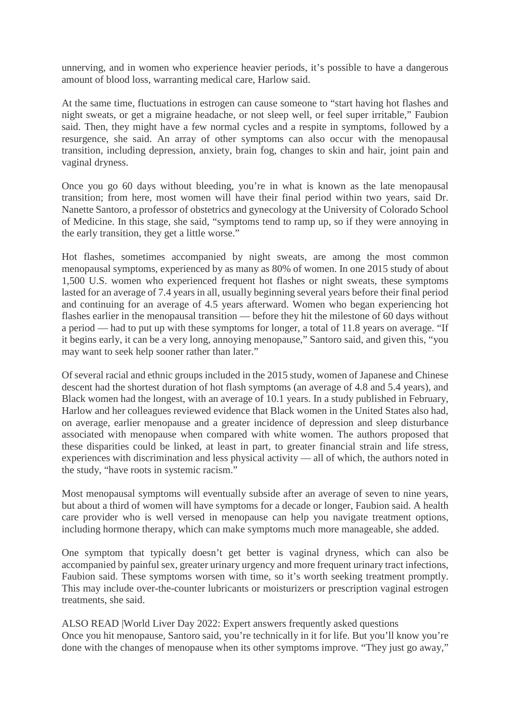unnerving, and in women who experience heavier periods, it's possible to have a dangerous amount of blood loss, warranting medical care, Harlow said.

At the same time, fluctuations in estrogen can cause someone to "start having hot flashes and night sweats, or get a migraine headache, or not sleep well, or feel super irritable," Faubion said. Then, they might have a few normal cycles and a respite in symptoms, followed by a resurgence, she said. An array of other symptoms can also occur with the menopausal transition, including depression, anxiety, brain fog, changes to skin and hair, joint pain and vaginal dryness.

Once you go 60 days without bleeding, you're in what is known as the late menopausal transition; from here, most women will have their final period within two years, said Dr. Nanette Santoro, a professor of obstetrics and gynecology at the University of Colorado School of Medicine. In this stage, she said, "symptoms tend to ramp up, so if they were annoying in the early transition, they get a little worse."

Hot flashes, sometimes accompanied by night sweats, are among the most common menopausal symptoms, experienced by as many as 80% of women. In one 2015 study of about 1,500 U.S. women who experienced frequent hot flashes or night sweats, these symptoms lasted for an average of 7.4 years in all, usually beginning several years before their final period and continuing for an average of 4.5 years afterward. Women who began experiencing hot flashes earlier in the menopausal transition — before they hit the milestone of 60 days without a period — had to put up with these symptoms for longer, a total of 11.8 years on average. "If it begins early, it can be a very long, annoying menopause," Santoro said, and given this, "you may want to seek help sooner rather than later."

Of several racial and ethnic groups included in the 2015 study, women of Japanese and Chinese descent had the shortest duration of hot flash symptoms (an average of 4.8 and 5.4 years), and Black women had the longest, with an average of 10.1 years. In a study published in February, Harlow and her colleagues reviewed evidence that Black women in the United States also had, on average, earlier menopause and a greater incidence of depression and sleep disturbance associated with menopause when compared with white women. The authors proposed that these disparities could be linked, at least in part, to greater financial strain and life stress, experiences with discrimination and less physical activity — all of which, the authors noted in the study, "have roots in systemic racism."

Most menopausal symptoms will eventually subside after an average of seven to nine years, but about a third of women will have symptoms for a decade or longer, Faubion said. A health care provider who is well versed in menopause can help you navigate treatment options, including hormone therapy, which can make symptoms much more manageable, she added.

One symptom that typically doesn't get better is vaginal dryness, which can also be accompanied by painful sex, greater urinary urgency and more frequent urinary tract infections, Faubion said. These symptoms worsen with time, so it's worth seeking treatment promptly. This may include over-the-counter lubricants or moisturizers or prescription vaginal estrogen treatments, she said.

ALSO READ |World Liver Day 2022: Expert answers frequently asked questions Once you hit menopause, Santoro said, you're technically in it for life. But you'll know you're done with the changes of menopause when its other symptoms improve. "They just go away,"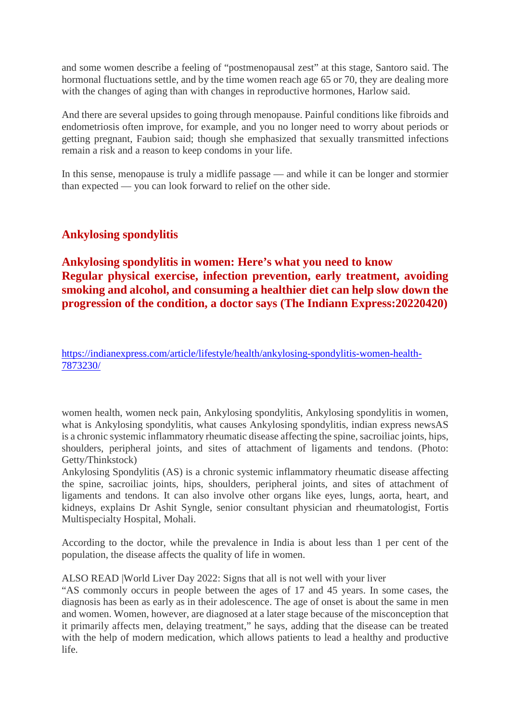and some women describe a feeling of "postmenopausal zest" at this stage, Santoro said. The hormonal fluctuations settle, and by the time women reach age 65 or 70, they are dealing more with the changes of aging than with changes in reproductive hormones, Harlow said.

And there are several upsides to going through menopause. Painful conditions like fibroids and endometriosis often improve, for example, and you no longer need to worry about periods or getting pregnant, Faubion said; though she emphasized that sexually transmitted infections remain a risk and a reason to keep condoms in your life.

In this sense, menopause is truly a midlife passage — and while it can be longer and stormier than expected — you can look forward to relief on the other side.

#### **Ankylosing spondylitis**

**Ankylosing spondylitis in women: Here's what you need to know Regular physical exercise, infection prevention, early treatment, avoiding smoking and alcohol, and consuming a healthier diet can help slow down the progression of the condition, a doctor says (The Indiann Express:20220420)**

#### https://indianexpress.com/article/lifestyle/health/ankylosing-spondylitis-women-health-7873230/

women health, women neck pain, Ankylosing spondylitis, Ankylosing spondylitis in women, what is Ankylosing spondylitis, what causes Ankylosing spondylitis, indian express newsAS is a chronic systemic inflammatory rheumatic disease affecting the spine, sacroiliac joints, hips, shoulders, peripheral joints, and sites of attachment of ligaments and tendons. (Photo: Getty/Thinkstock)

Ankylosing Spondylitis (AS) is a chronic systemic inflammatory rheumatic disease affecting the spine, sacroiliac joints, hips, shoulders, peripheral joints, and sites of attachment of ligaments and tendons. It can also involve other organs like eyes, lungs, aorta, heart, and kidneys, explains Dr Ashit Syngle, senior consultant physician and rheumatologist, Fortis Multispecialty Hospital, Mohali.

According to the doctor, while the prevalence in India is about less than 1 per cent of the population, the disease affects the quality of life in women.

#### ALSO READ |World Liver Day 2022: Signs that all is not well with your liver

"AS commonly occurs in people between the ages of 17 and 45 years. In some cases, the diagnosis has been as early as in their adolescence. The age of onset is about the same in men and women. Women, however, are diagnosed at a later stage because of the misconception that it primarily affects men, delaying treatment," he says, adding that the disease can be treated with the help of modern medication, which allows patients to lead a healthy and productive life.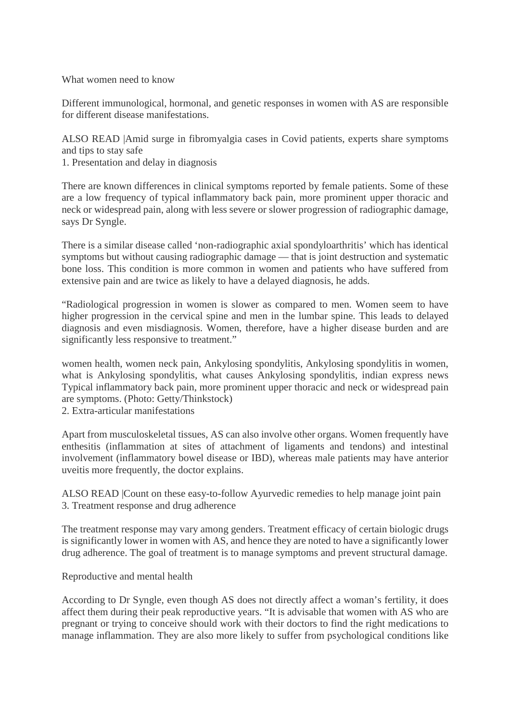What women need to know

Different immunological, hormonal, and genetic responses in women with AS are responsible for different disease manifestations.

ALSO READ |Amid surge in fibromyalgia cases in Covid patients, experts share symptoms and tips to stay safe

1. Presentation and delay in diagnosis

There are known differences in clinical symptoms reported by female patients. Some of these are a low frequency of typical inflammatory back pain, more prominent upper thoracic and neck or widespread pain, along with less severe or slower progression of radiographic damage, says Dr Syngle.

There is a similar disease called 'non-radiographic axial spondyloarthritis' which has identical symptoms but without causing radiographic damage — that is joint destruction and systematic bone loss. This condition is more common in women and patients who have suffered from extensive pain and are twice as likely to have a delayed diagnosis, he adds.

"Radiological progression in women is slower as compared to men. Women seem to have higher progression in the cervical spine and men in the lumbar spine. This leads to delayed diagnosis and even misdiagnosis. Women, therefore, have a higher disease burden and are significantly less responsive to treatment."

women health, women neck pain, Ankylosing spondylitis, Ankylosing spondylitis in women, what is Ankylosing spondylitis, what causes Ankylosing spondylitis, indian express news Typical inflammatory back pain, more prominent upper thoracic and neck or widespread pain are symptoms. (Photo: Getty/Thinkstock)

2. Extra-articular manifestations

Apart from musculoskeletal tissues, AS can also involve other organs. Women frequently have enthesitis (inflammation at sites of attachment of ligaments and tendons) and intestinal involvement (inflammatory bowel disease or IBD), whereas male patients may have anterior uveitis more frequently, the doctor explains.

ALSO READ |Count on these easy-to-follow Ayurvedic remedies to help manage joint pain 3. Treatment response and drug adherence

The treatment response may vary among genders. Treatment efficacy of certain biologic drugs is significantly lower in women with AS, and hence they are noted to have a significantly lower drug adherence. The goal of treatment is to manage symptoms and prevent structural damage.

Reproductive and mental health

According to Dr Syngle, even though AS does not directly affect a woman's fertility, it does affect them during their peak reproductive years. "It is advisable that women with AS who are pregnant or trying to conceive should work with their doctors to find the right medications to manage inflammation. They are also more likely to suffer from psychological conditions like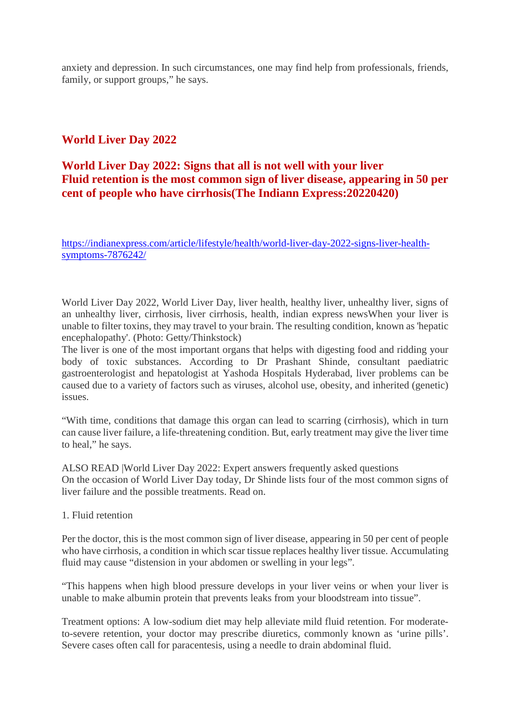anxiety and depression. In such circumstances, one may find help from professionals, friends, family, or support groups," he says.

#### **World Liver Day 2022**

#### **World Liver Day 2022: Signs that all is not well with your liver Fluid retention is the most common sign of liver disease, appearing in 50 per cent of people who have cirrhosis(The Indiann Express:20220420)**

https://indianexpress.com/article/lifestyle/health/world-liver-day-2022-signs-liver-healthsymptoms-7876242/

World Liver Day 2022, World Liver Day, liver health, healthy liver, unhealthy liver, signs of an unhealthy liver, cirrhosis, liver cirrhosis, health, indian express newsWhen your liver is unable to filter toxins, they may travel to your brain. The resulting condition, known as 'hepatic encephalopathy'. (Photo: Getty/Thinkstock)

The liver is one of the most important organs that helps with digesting food and ridding your body of toxic substances. According to Dr Prashant Shinde, consultant paediatric gastroenterologist and hepatologist at Yashoda Hospitals Hyderabad, liver problems can be caused due to a variety of factors such as viruses, alcohol use, obesity, and inherited (genetic) issues.

"With time, conditions that damage this organ can lead to scarring (cirrhosis), which in turn can cause liver failure, a life-threatening condition. But, early treatment may give the liver time to heal," he says.

ALSO READ |World Liver Day 2022: Expert answers frequently asked questions On the occasion of World Liver Day today, Dr Shinde lists four of the most common signs of liver failure and the possible treatments. Read on.

#### 1. Fluid retention

Per the doctor, this is the most common sign of liver disease, appearing in 50 per cent of people who have cirrhosis, a condition in which scar tissue replaces healthy liver tissue. Accumulating fluid may cause "distension in your abdomen or swelling in your legs".

"This happens when high blood pressure develops in your liver veins or when your liver is unable to make albumin protein that prevents leaks from your bloodstream into tissue".

Treatment options: A low-sodium diet may help alleviate mild fluid retention. For moderateto-severe retention, your doctor may prescribe diuretics, commonly known as 'urine pills'. Severe cases often call for paracentesis, using a needle to drain abdominal fluid.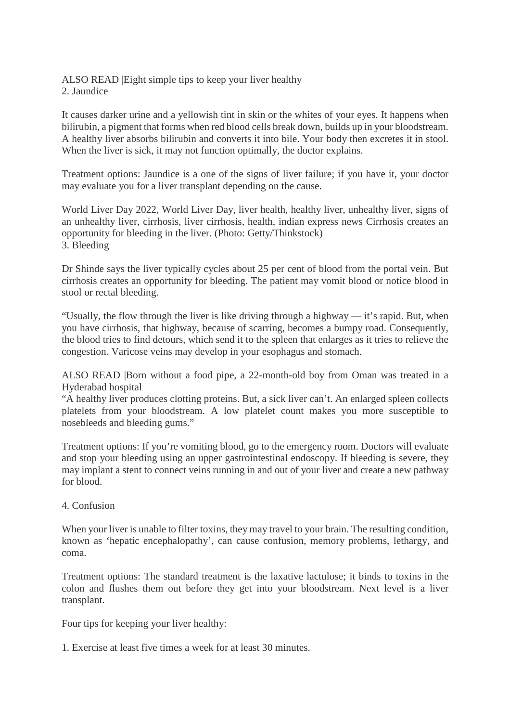ALSO READ |Eight simple tips to keep your liver healthy 2. Jaundice

It causes darker urine and a yellowish tint in skin or the whites of your eyes. It happens when bilirubin, a pigment that forms when red blood cells break down, builds up in your bloodstream. A healthy liver absorbs bilirubin and converts it into bile. Your body then excretes it in stool. When the liver is sick, it may not function optimally, the doctor explains.

Treatment options: Jaundice is a one of the signs of liver failure; if you have it, your doctor may evaluate you for a liver transplant depending on the cause.

World Liver Day 2022, World Liver Day, liver health, healthy liver, unhealthy liver, signs of an unhealthy liver, cirrhosis, liver cirrhosis, health, indian express news Cirrhosis creates an opportunity for bleeding in the liver. (Photo: Getty/Thinkstock) 3. Bleeding

Dr Shinde says the liver typically cycles about 25 per cent of blood from the portal vein. But cirrhosis creates an opportunity for bleeding. The patient may vomit blood or notice blood in stool or rectal bleeding.

"Usually, the flow through the liver is like driving through a highway — it's rapid. But, when you have cirrhosis, that highway, because of scarring, becomes a bumpy road. Consequently, the blood tries to find detours, which send it to the spleen that enlarges as it tries to relieve the congestion. Varicose veins may develop in your esophagus and stomach.

ALSO READ |Born without a food pipe, a 22-month-old boy from Oman was treated in a Hyderabad hospital

"A healthy liver produces clotting proteins. But, a sick liver can't. An enlarged spleen collects platelets from your bloodstream. A low platelet count makes you more susceptible to nosebleeds and bleeding gums."

Treatment options: If you're vomiting blood, go to the emergency room. Doctors will evaluate and stop your bleeding using an upper gastrointestinal endoscopy. If bleeding is severe, they may implant a stent to connect veins running in and out of your liver and create a new pathway for blood.

4. Confusion

When your liver is unable to filter toxins, they may travel to your brain. The resulting condition, known as 'hepatic encephalopathy', can cause confusion, memory problems, lethargy, and coma.

Treatment options: The standard treatment is the laxative lactulose; it binds to toxins in the colon and flushes them out before they get into your bloodstream. Next level is a liver transplant.

Four tips for keeping your liver healthy:

1. Exercise at least five times a week for at least 30 minutes.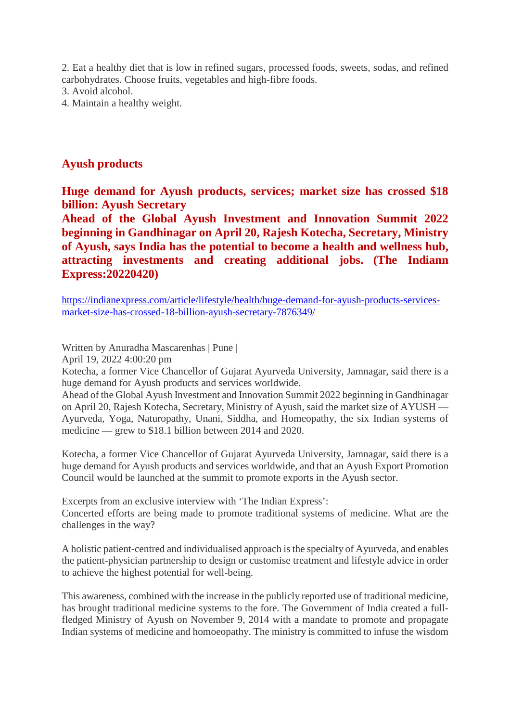2. Eat a healthy diet that is low in refined sugars, processed foods, sweets, sodas, and refined carbohydrates. Choose fruits, vegetables and high-fibre foods.

3. Avoid alcohol.

4. Maintain a healthy weight.

#### **Ayush products**

**Huge demand for Ayush products, services; market size has crossed \$18 billion: Ayush Secretary**

**Ahead of the Global Ayush Investment and Innovation Summit 2022 beginning in Gandhinagar on April 20, Rajesh Kotecha, Secretary, Ministry of Ayush, says India has the potential to become a health and wellness hub, attracting investments and creating additional jobs. (The Indiann Express:20220420)**

https://indianexpress.com/article/lifestyle/health/huge-demand-for-ayush-products-servicesmarket-size-has-crossed-18-billion-ayush-secretary-7876349/

Written by Anuradha Mascarenhas | Pune |

April 19, 2022 4:00:20 pm

Kotecha, a former Vice Chancellor of Gujarat Ayurveda University, Jamnagar, said there is a huge demand for Ayush products and services worldwide.

Ahead of the Global Ayush Investment and Innovation Summit 2022 beginning in Gandhinagar on April 20, Rajesh Kotecha, Secretary, Ministry of Ayush, said the market size of AYUSH — Ayurveda, Yoga, Naturopathy, Unani, Siddha, and Homeopathy, the six Indian systems of medicine — grew to \$18.1 billion between 2014 and 2020.

Kotecha, a former Vice Chancellor of Gujarat Ayurveda University, Jamnagar, said there is a huge demand for Ayush products and services worldwide, and that an Ayush Export Promotion Council would be launched at the summit to promote exports in the Ayush sector.

Excerpts from an exclusive interview with 'The Indian Express':

Concerted efforts are being made to promote traditional systems of medicine. What are the challenges in the way?

A holistic patient-centred and individualised approach is the specialty of Ayurveda, and enables the patient-physician partnership to design or customise treatment and lifestyle advice in order to achieve the highest potential for well-being.

This awareness, combined with the increase in the publicly reported use of traditional medicine, has brought traditional medicine systems to the fore. The Government of India created a fullfledged Ministry of Ayush on November 9, 2014 with a mandate to promote and propagate Indian systems of medicine and homoeopathy. The ministry is committed to infuse the wisdom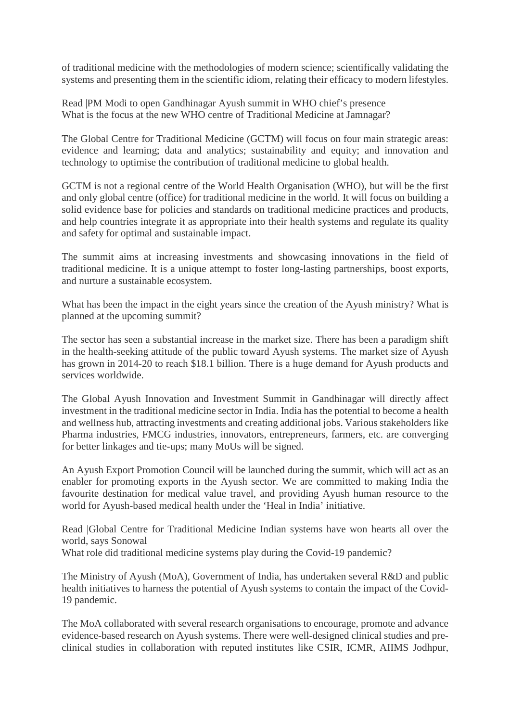of traditional medicine with the methodologies of modern science; scientifically validating the systems and presenting them in the scientific idiom, relating their efficacy to modern lifestyles.

Read |PM Modi to open Gandhinagar Ayush summit in WHO chief's presence What is the focus at the new WHO centre of Traditional Medicine at Jamnagar?

The Global Centre for Traditional Medicine (GCTM) will focus on four main strategic areas: evidence and learning; data and analytics; sustainability and equity; and innovation and technology to optimise the contribution of traditional medicine to global health.

GCTM is not a regional centre of the World Health Organisation (WHO), but will be the first and only global centre (office) for traditional medicine in the world. It will focus on building a solid evidence base for policies and standards on traditional medicine practices and products, and help countries integrate it as appropriate into their health systems and regulate its quality and safety for optimal and sustainable impact.

The summit aims at increasing investments and showcasing innovations in the field of traditional medicine. It is a unique attempt to foster long-lasting partnerships, boost exports, and nurture a sustainable ecosystem.

What has been the impact in the eight years since the creation of the Ayush ministry? What is planned at the upcoming summit?

The sector has seen a substantial increase in the market size. There has been a paradigm shift in the health-seeking attitude of the public toward Ayush systems. The market size of Ayush has grown in 2014-20 to reach \$18.1 billion. There is a huge demand for Ayush products and services worldwide.

The Global Ayush Innovation and Investment Summit in Gandhinagar will directly affect investment in the traditional medicine sector in India. India has the potential to become a health and wellness hub, attracting investments and creating additional jobs. Various stakeholders like Pharma industries, FMCG industries, innovators, entrepreneurs, farmers, etc. are converging for better linkages and tie-ups; many MoUs will be signed.

An Ayush Export Promotion Council will be launched during the summit, which will act as an enabler for promoting exports in the Ayush sector. We are committed to making India the favourite destination for medical value travel, and providing Ayush human resource to the world for Ayush-based medical health under the 'Heal in India' initiative.

Read |Global Centre for Traditional Medicine Indian systems have won hearts all over the world, says Sonowal

What role did traditional medicine systems play during the Covid-19 pandemic?

The Ministry of Ayush (MoA), Government of India, has undertaken several R&D and public health initiatives to harness the potential of Ayush systems to contain the impact of the Covid-19 pandemic.

The MoA collaborated with several research organisations to encourage, promote and advance evidence-based research on Ayush systems. There were well-designed clinical studies and preclinical studies in collaboration with reputed institutes like CSIR, ICMR, AIIMS Jodhpur,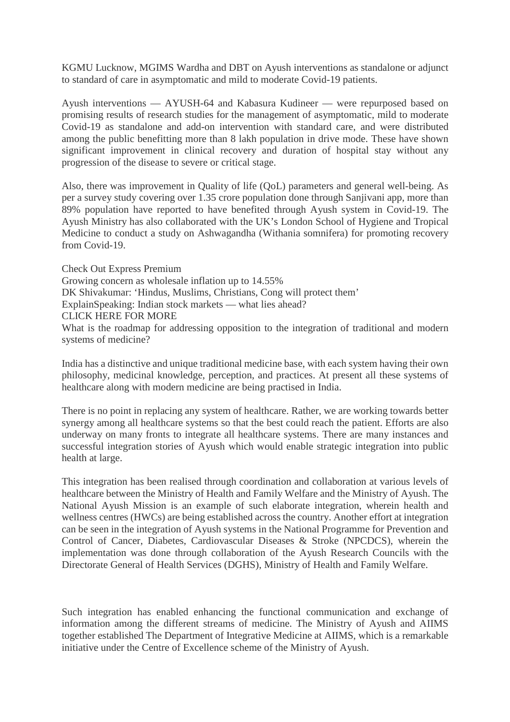KGMU Lucknow, MGIMS Wardha and DBT on Ayush interventions as standalone or adjunct to standard of care in asymptomatic and mild to moderate Covid-19 patients.

Ayush interventions — AYUSH-64 and Kabasura Kudineer — were repurposed based on promising results of research studies for the management of asymptomatic, mild to moderate Covid-19 as standalone and add-on intervention with standard care, and were distributed among the public benefitting more than 8 lakh population in drive mode. These have shown significant improvement in clinical recovery and duration of hospital stay without any progression of the disease to severe or critical stage.

Also, there was improvement in Quality of life (QoL) parameters and general well-being. As per a survey study covering over 1.35 crore population done through Sanjivani app, more than 89% population have reported to have benefited through Ayush system in Covid-19. The Ayush Ministry has also collaborated with the UK's London School of Hygiene and Tropical Medicine to conduct a study on Ashwagandha (Withania somnifera) for promoting recovery from Covid-19.

Check Out Express Premium Growing concern as wholesale inflation up to 14.55% DK Shivakumar: 'Hindus, Muslims, Christians, Cong will protect them' ExplainSpeaking: Indian stock markets — what lies ahead? CLICK HERE FOR MORE What is the roadmap for addressing opposition to the integration of traditional and modern systems of medicine?

India has a distinctive and unique traditional medicine base, with each system having their own philosophy, medicinal knowledge, perception, and practices. At present all these systems of healthcare along with modern medicine are being practised in India.

There is no point in replacing any system of healthcare. Rather, we are working towards better synergy among all healthcare systems so that the best could reach the patient. Efforts are also underway on many fronts to integrate all healthcare systems. There are many instances and successful integration stories of Ayush which would enable strategic integration into public health at large.

This integration has been realised through coordination and collaboration at various levels of healthcare between the Ministry of Health and Family Welfare and the Ministry of Ayush. The National Ayush Mission is an example of such elaborate integration, wherein health and wellness centres (HWCs) are being established across the country. Another effort at integration can be seen in the integration of Ayush systems in the National Programme for Prevention and Control of Cancer, Diabetes, Cardiovascular Diseases & Stroke (NPCDCS), wherein the implementation was done through collaboration of the Ayush Research Councils with the Directorate General of Health Services (DGHS), Ministry of Health and Family Welfare.

Such integration has enabled enhancing the functional communication and exchange of information among the different streams of medicine. The Ministry of Ayush and AIIMS together established The Department of Integrative Medicine at AIIMS, which is a remarkable initiative under the Centre of Excellence scheme of the Ministry of Ayush.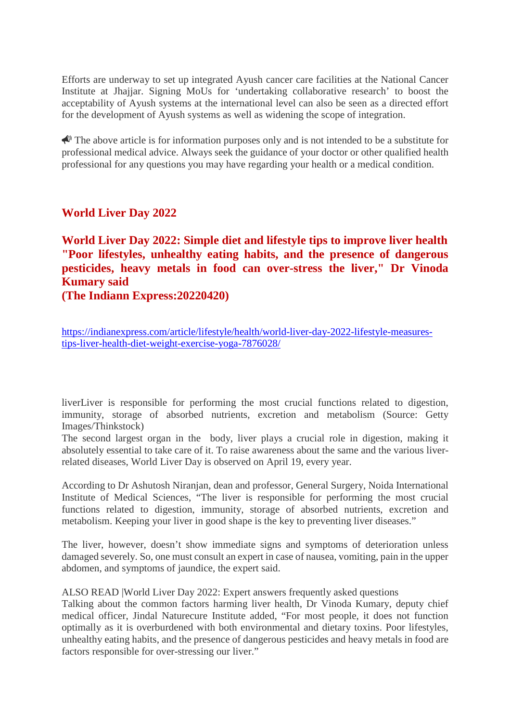Efforts are underway to set up integrated Ayush cancer care facilities at the National Cancer Institute at Jhajjar. Signing MoUs for 'undertaking collaborative research' to boost the acceptability of Ayush systems at the international level can also be seen as a directed effort for the development of Ayush systems as well as widening the scope of integration.

 $\triangle$  The above article is for information purposes only and is not intended to be a substitute for professional medical advice. Always seek the guidance of your doctor or other qualified health professional for any questions you may have regarding your health or a medical condition.

#### **World Liver Day 2022**

**World Liver Day 2022: Simple diet and lifestyle tips to improve liver health "Poor lifestyles, unhealthy eating habits, and the presence of dangerous pesticides, heavy metals in food can over-stress the liver," Dr Vinoda Kumary said**

**(The Indiann Express:20220420)**

https://indianexpress.com/article/lifestyle/health/world-liver-day-2022-lifestyle-measurestips-liver-health-diet-weight-exercise-yoga-7876028/

liverLiver is responsible for performing the most crucial functions related to digestion, immunity, storage of absorbed nutrients, excretion and metabolism (Source: Getty Images/Thinkstock)

The second largest organ in the body, liver plays a crucial role in digestion, making it absolutely essential to take care of it. To raise awareness about the same and the various liverrelated diseases, World Liver Day is observed on April 19, every year.

According to Dr Ashutosh Niranjan, dean and professor, General Surgery, Noida International Institute of Medical Sciences, "The liver is responsible for performing the most crucial functions related to digestion, immunity, storage of absorbed nutrients, excretion and metabolism. Keeping your liver in good shape is the key to preventing liver diseases."

The liver, however, doesn't show immediate signs and symptoms of deterioration unless damaged severely. So, one must consult an expert in case of nausea, vomiting, pain in the upper abdomen, and symptoms of jaundice, the expert said.

ALSO READ |World Liver Day 2022: Expert answers frequently asked questions

Talking about the common factors harming liver health, Dr Vinoda Kumary, deputy chief medical officer, Jindal Naturecure Institute added, "For most people, it does not function optimally as it is overburdened with both environmental and dietary toxins. Poor lifestyles, unhealthy eating habits, and the presence of dangerous pesticides and heavy metals in food are factors responsible for over-stressing our liver."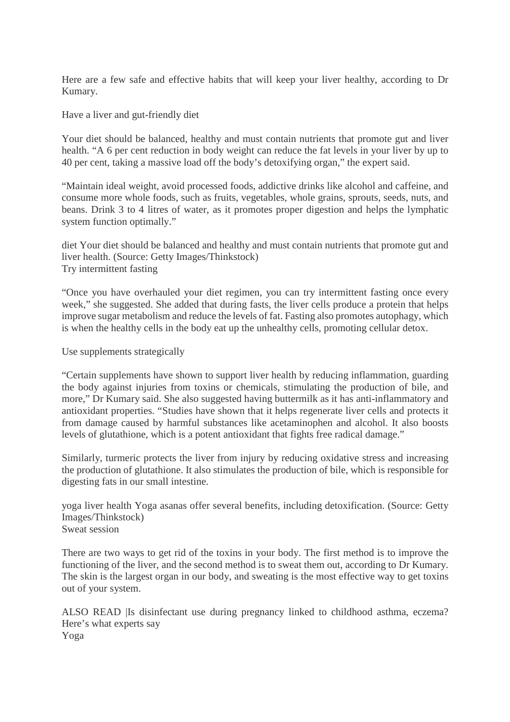Here are a few safe and effective habits that will keep your liver healthy, according to Dr Kumary.

Have a liver and gut-friendly diet

Your diet should be balanced, healthy and must contain nutrients that promote gut and liver health. "A 6 per cent reduction in body weight can reduce the fat levels in your liver by up to 40 per cent, taking a massive load off the body's detoxifying organ," the expert said.

"Maintain ideal weight, avoid processed foods, addictive drinks like alcohol and caffeine, and consume more whole foods, such as fruits, vegetables, whole grains, sprouts, seeds, nuts, and beans. Drink 3 to 4 litres of water, as it promotes proper digestion and helps the lymphatic system function optimally."

diet Your diet should be balanced and healthy and must contain nutrients that promote gut and liver health. (Source: Getty Images/Thinkstock) Try intermittent fasting

"Once you have overhauled your diet regimen, you can try intermittent fasting once every week," she suggested. She added that during fasts, the liver cells produce a protein that helps improve sugar metabolism and reduce the levels of fat. Fasting also promotes autophagy, which is when the healthy cells in the body eat up the unhealthy cells, promoting cellular detox.

Use supplements strategically

"Certain supplements have shown to support liver health by reducing inflammation, guarding the body against injuries from toxins or chemicals, stimulating the production of bile, and more," Dr Kumary said. She also suggested having buttermilk as it has anti-inflammatory and antioxidant properties. "Studies have shown that it helps regenerate liver cells and protects it from damage caused by harmful substances like acetaminophen and alcohol. It also boosts levels of glutathione, which is a potent antioxidant that fights free radical damage."

Similarly, turmeric protects the liver from injury by reducing oxidative stress and increasing the production of glutathione. It also stimulates the production of bile, which is responsible for digesting fats in our small intestine.

yoga liver health Yoga asanas offer several benefits, including detoxification. (Source: Getty Images/Thinkstock) Sweat session

There are two ways to get rid of the toxins in your body. The first method is to improve the functioning of the liver, and the second method is to sweat them out, according to Dr Kumary. The skin is the largest organ in our body, and sweating is the most effective way to get toxins out of your system.

ALSO READ |Is disinfectant use during pregnancy linked to childhood asthma, eczema? Here's what experts say Yoga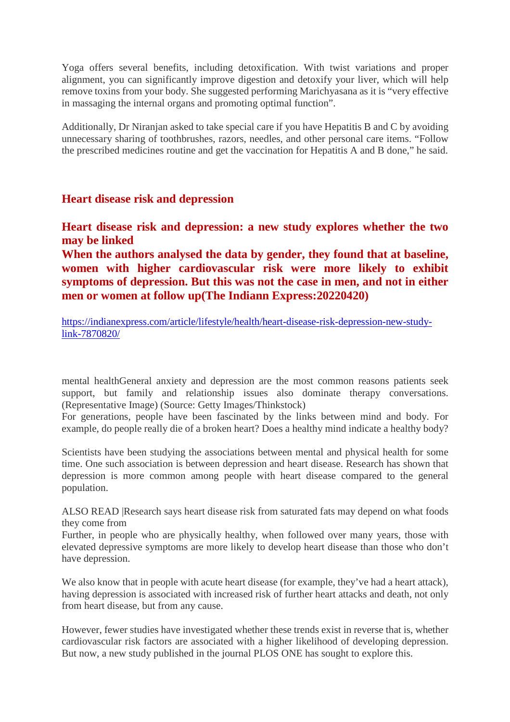Yoga offers several benefits, including detoxification. With twist variations and proper alignment, you can significantly improve digestion and detoxify your liver, which will help remove toxins from your body. She suggested performing Marichyasana as it is "very effective in massaging the internal organs and promoting optimal function".

Additionally, Dr Niranjan asked to take special care if you have Hepatitis B and C by avoiding unnecessary sharing of toothbrushes, razors, needles, and other personal care items. "Follow the prescribed medicines routine and get the vaccination for Hepatitis A and B done," he said.

#### **Heart disease risk and depression**

**Heart disease risk and depression: a new study explores whether the two may be linked**

**When the authors analysed the data by gender, they found that at baseline, women with higher cardiovascular risk were more likely to exhibit symptoms of depression. But this was not the case in men, and not in either men or women at follow up(The Indiann Express:20220420)**

https://indianexpress.com/article/lifestyle/health/heart-disease-risk-depression-new-studylink-7870820/

mental healthGeneral anxiety and depression are the most common reasons patients seek support, but family and relationship issues also dominate therapy conversations. (Representative Image) (Source: Getty Images/Thinkstock)

For generations, people have been fascinated by the links between mind and body. For example, do people really die of a broken heart? Does a healthy mind indicate a healthy body?

Scientists have been studying the associations between mental and physical health for some time. One such association is between depression and heart disease. Research has shown that depression is more common among people with heart disease compared to the general population.

ALSO READ |Research says heart disease risk from saturated fats may depend on what foods they come from

Further, in people who are physically healthy, when followed over many years, those with elevated depressive symptoms are more likely to develop heart disease than those who don't have depression.

We also know that in people with acute heart disease (for example, they've had a heart attack), having depression is associated with increased risk of further heart attacks and death, not only from heart disease, but from any cause.

However, fewer studies have investigated whether these trends exist in reverse that is, whether cardiovascular risk factors are associated with a higher likelihood of developing depression. But now, a new study published in the journal PLOS ONE has sought to explore this.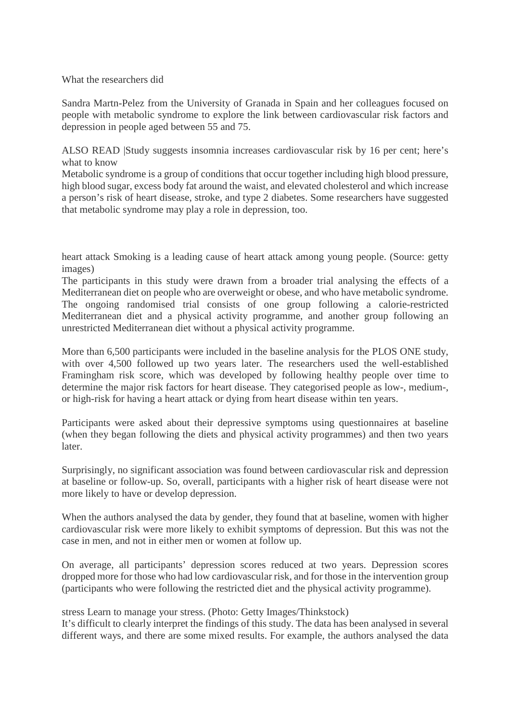#### What the researchers did

Sandra Martn-Pelez from the University of Granada in Spain and her colleagues focused on people with metabolic syndrome to explore the link between cardiovascular risk factors and depression in people aged between 55 and 75.

ALSO READ |Study suggests insomnia increases cardiovascular risk by 16 per cent; here's what to know

Metabolic syndrome is a group of conditions that occur together including high blood pressure, high blood sugar, excess body fat around the waist, and elevated cholesterol and which increase a person's risk of heart disease, stroke, and type 2 diabetes. Some researchers have suggested that metabolic syndrome may play a role in depression, too.

heart attack Smoking is a leading cause of heart attack among young people. (Source: getty images)

The participants in this study were drawn from a broader trial analysing the effects of a Mediterranean diet on people who are overweight or obese, and who have metabolic syndrome. The ongoing randomised trial consists of one group following a calorie-restricted Mediterranean diet and a physical activity programme, and another group following an unrestricted Mediterranean diet without a physical activity programme.

More than 6,500 participants were included in the baseline analysis for the PLOS ONE study, with over 4,500 followed up two years later. The researchers used the well-established Framingham risk score, which was developed by following healthy people over time to determine the major risk factors for heart disease. They categorised people as low-, medium-, or high-risk for having a heart attack or dying from heart disease within ten years.

Participants were asked about their depressive symptoms using questionnaires at baseline (when they began following the diets and physical activity programmes) and then two years later.

Surprisingly, no significant association was found between cardiovascular risk and depression at baseline or follow-up. So, overall, participants with a higher risk of heart disease were not more likely to have or develop depression.

When the authors analysed the data by gender, they found that at baseline, women with higher cardiovascular risk were more likely to exhibit symptoms of depression. But this was not the case in men, and not in either men or women at follow up.

On average, all participants' depression scores reduced at two years. Depression scores dropped more for those who had low cardiovascular risk, and for those in the intervention group (participants who were following the restricted diet and the physical activity programme).

stress Learn to manage your stress. (Photo: Getty Images/Thinkstock)

It's difficult to clearly interpret the findings of this study. The data has been analysed in several different ways, and there are some mixed results. For example, the authors analysed the data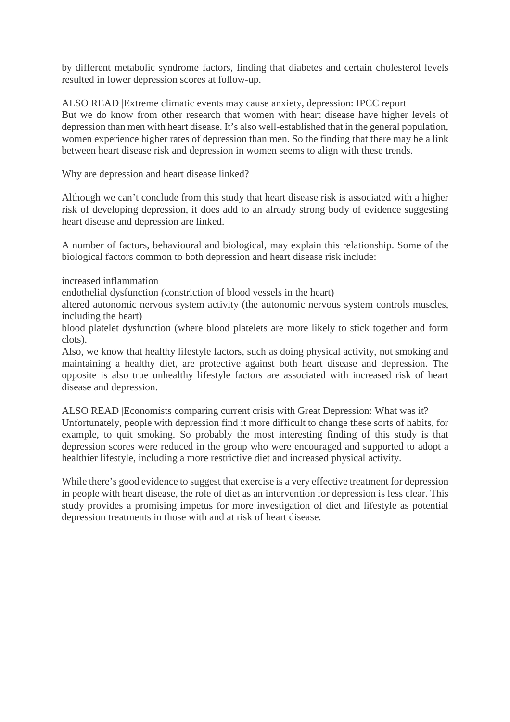by different metabolic syndrome factors, finding that diabetes and certain cholesterol levels resulted in lower depression scores at follow-up.

ALSO READ |Extreme climatic events may cause anxiety, depression: IPCC report But we do know from other research that women with heart disease have higher levels of depression than men with heart disease. It's also well-established that in the general population, women experience higher rates of depression than men. So the finding that there may be a link between heart disease risk and depression in women seems to align with these trends.

Why are depression and heart disease linked?

Although we can't conclude from this study that heart disease risk is associated with a higher risk of developing depression, it does add to an already strong body of evidence suggesting heart disease and depression are linked.

A number of factors, behavioural and biological, may explain this relationship. Some of the biological factors common to both depression and heart disease risk include:

increased inflammation

endothelial dysfunction (constriction of blood vessels in the heart)

altered autonomic nervous system activity (the autonomic nervous system controls muscles, including the heart)

blood platelet dysfunction (where blood platelets are more likely to stick together and form clots).

Also, we know that healthy lifestyle factors, such as doing physical activity, not smoking and maintaining a healthy diet, are protective against both heart disease and depression. The opposite is also true unhealthy lifestyle factors are associated with increased risk of heart disease and depression.

ALSO READ |Economists comparing current crisis with Great Depression: What was it? Unfortunately, people with depression find it more difficult to change these sorts of habits, for example, to quit smoking. So probably the most interesting finding of this study is that depression scores were reduced in the group who were encouraged and supported to adopt a healthier lifestyle, including a more restrictive diet and increased physical activity.

While there's good evidence to suggest that exercise is a very effective treatment for depression in people with heart disease, the role of diet as an intervention for depression is less clear. This study provides a promising impetus for more investigation of diet and lifestyle as potential depression treatments in those with and at risk of heart disease.